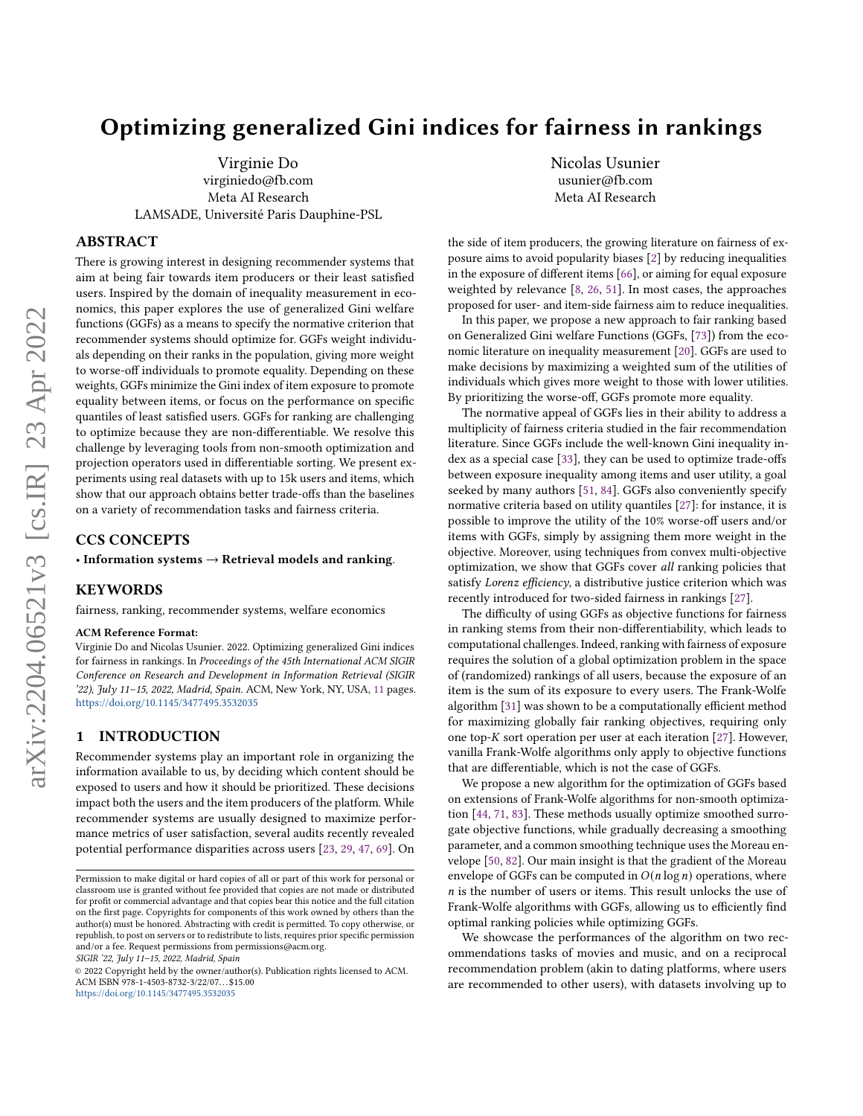# Optimizing generalized Gini indices for fairness in rankings

Virginie Do virginiedo@fb.com Meta AI Research LAMSADE, Université Paris Dauphine-PSL

# ABSTRACT

There is growing interest in designing recommender systems that aim at being fair towards item producers or their least satisfied users. Inspired by the domain of inequality measurement in economics, this paper explores the use of generalized Gini welfare functions (GGFs) as a means to specify the normative criterion that recommender systems should optimize for. GGFs weight individuals depending on their ranks in the population, giving more weight to worse-off individuals to promote equality. Depending on these weights, GGFs minimize the Gini index of item exposure to promote equality between items, or focus on the performance on specific quantiles of least satisfied users. GGFs for ranking are challenging to optimize because they are non-differentiable. We resolve this challenge by leveraging tools from non-smooth optimization and projection operators used in differentiable sorting. We present experiments using real datasets with up to 15k users and items, which show that our approach obtains better trade-offs than the baselines on a variety of recommendation tasks and fairness criteria.

#### CCS CONCEPTS

• Information systems  $\rightarrow$  Retrieval models and ranking.

### KEYWORDS

fairness, ranking, recommender systems, welfare economics

#### ACM Reference Format:

Virginie Do and Nicolas Usunier. 2022. Optimizing generalized Gini indices for fairness in rankings. In Proceedings of the 45th International ACM SIGIR Conference on Research and Development in Information Retrieval (SIGIR '22), July 11–15, 2022, Madrid, Spain. ACM, New York, NY, USA, [11](#page-10-0) pages. <https://doi.org/10.1145/3477495.3532035>

# 1 INTRODUCTION

Recommender systems play an important role in organizing the information available to us, by deciding which content should be exposed to users and how it should be prioritized. These decisions impact both the users and the item producers of the platform. While recommender systems are usually designed to maximize performance metrics of user satisfaction, several audits recently revealed potential performance disparities across users [\[23,](#page-9-0) [29,](#page-9-1) [47,](#page-10-1) [69\]](#page-10-2). On

SIGIR '22, July 11–15, 2022, Madrid, Spain

© 2022 Copyright held by the owner/author(s). Publication rights licensed to ACM. ACM ISBN 978-1-4503-8732-3/22/07. . . \$15.00 <https://doi.org/10.1145/3477495.3532035>

Nicolas Usunier usunier@fb.com Meta AI Research

the side of item producers, the growing literature on fairness of exposure aims to avoid popularity biases [\[2\]](#page-9-2) by reducing inequalities in the exposure of different items [\[66\]](#page-10-3), or aiming for equal exposure weighted by relevance [\[8,](#page-9-3) [26,](#page-9-4) [51\]](#page-10-4). In most cases, the approaches proposed for user- and item-side fairness aim to reduce inequalities.

In this paper, we propose a new approach to fair ranking based on Generalized Gini welfare Functions (GGFs, [\[73\]](#page-10-5)) from the economic literature on inequality measurement [\[20\]](#page-9-5). GGFs are used to make decisions by maximizing a weighted sum of the utilities of individuals which gives more weight to those with lower utilities. By prioritizing the worse-off, GGFs promote more equality.

The normative appeal of GGFs lies in their ability to address a multiplicity of fairness criteria studied in the fair recommendation literature. Since GGFs include the well-known Gini inequality index as a special case [\[33\]](#page-10-6), they can be used to optimize trade-offs between exposure inequality among items and user utility, a goal seeked by many authors [\[51,](#page-10-4) [84\]](#page-10-7). GGFs also conveniently specify normative criteria based on utility quantiles [\[27\]](#page-9-6): for instance, it is possible to improve the utility of the 10% worse-off users and/or items with GGFs, simply by assigning them more weight in the objective. Moreover, using techniques from convex multi-objective optimization, we show that GGFs cover all ranking policies that satisfy Lorenz efficiency, a distributive justice criterion which was recently introduced for two-sided fairness in rankings [\[27\]](#page-9-6).

The difficulty of using GGFs as objective functions for fairness in ranking stems from their non-differentiability, which leads to computational challenges. Indeed, ranking with fairness of exposure requires the solution of a global optimization problem in the space of (randomized) rankings of all users, because the exposure of an item is the sum of its exposure to every users. The Frank-Wolfe algorithm [\[31\]](#page-9-7) was shown to be a computationally efficient method for maximizing globally fair ranking objectives, requiring only one top- $K$  sort operation per user at each iteration [\[27\]](#page-9-6). However, vanilla Frank-Wolfe algorithms only apply to objective functions that are differentiable, which is not the case of GGFs.

We propose a new algorithm for the optimization of GGFs based on extensions of Frank-Wolfe algorithms for non-smooth optimization [\[44,](#page-10-8) [71,](#page-10-9) [83\]](#page-10-10). These methods usually optimize smoothed surrogate objective functions, while gradually decreasing a smoothing parameter, and a common smoothing technique uses the Moreau envelope [\[50,](#page-10-11) [82\]](#page-10-12). Our main insight is that the gradient of the Moreau envelope of GGFs can be computed in  $O(n \log n)$  operations, where  $n$  is the number of users or items. This result unlocks the use of Frank-Wolfe algorithms with GGFs, allowing us to efficiently find optimal ranking policies while optimizing GGFs.

We showcase the performances of the algorithm on two recommendations tasks of movies and music, and on a reciprocal recommendation problem (akin to dating platforms, where users are recommended to other users), with datasets involving up to

Permission to make digital or hard copies of all or part of this work for personal or classroom use is granted without fee provided that copies are not made or distributed for profit or commercial advantage and that copies bear this notice and the full citation on the first page. Copyrights for components of this work owned by others than the author(s) must be honored. Abstracting with credit is permitted. To copy otherwise, or republish, to post on servers or to redistribute to lists, requires prior specific permission and/or a fee. Request permissions from permissions@acm.org.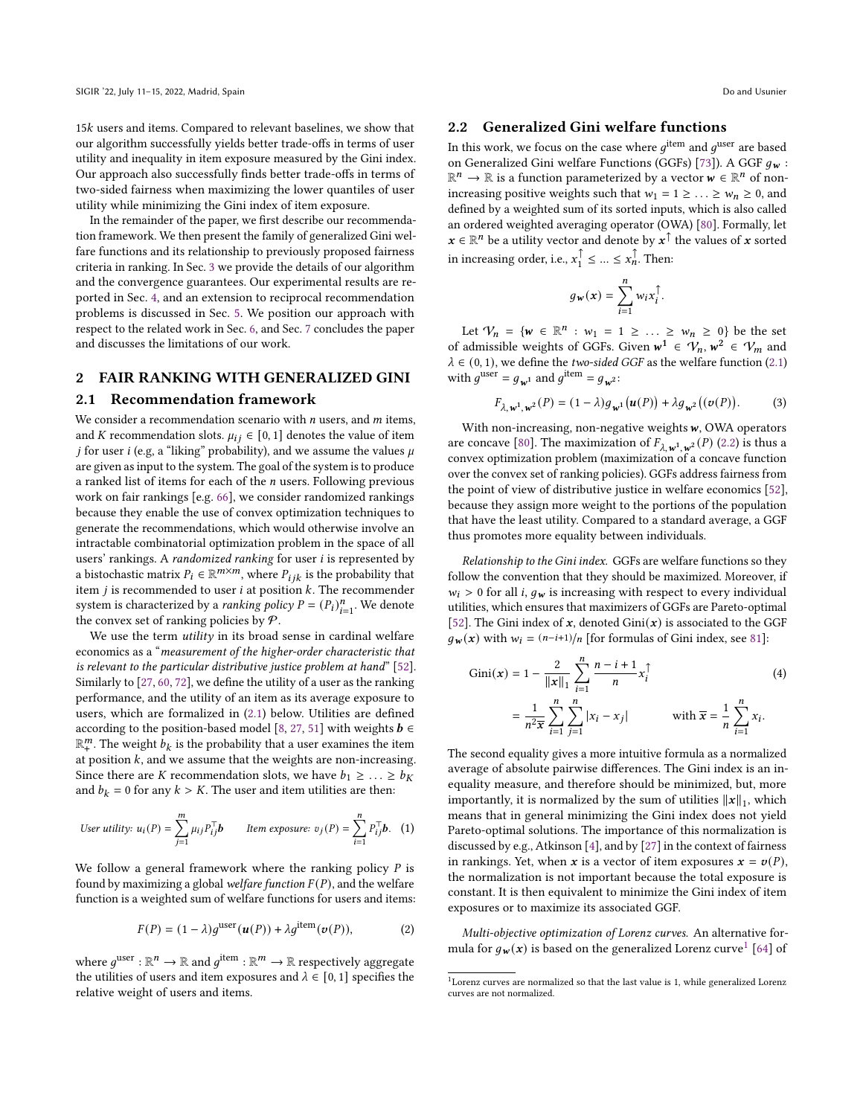$15k$  users and items. Compared to relevant baselines, we show that our algorithm successfully yields better trade-offs in terms of user utility and inequality in item exposure measured by the Gini index. Our approach also successfully finds better trade-offs in terms of two-sided fairness when maximizing the lower quantiles of user utility while minimizing the Gini index of item exposure.

In the remainder of the paper, we first describe our recommendation framework. We then present the family of generalized Gini welfare functions and its relationship to previously proposed fairness criteria in ranking. In Sec. [3](#page-3-0) we provide the details of our algorithm and the convergence guarantees. Our experimental results are reported in Sec. [4,](#page-5-0) and an extension to reciprocal recommendation problems is discussed in Sec. [5.](#page-6-0) We position our approach with respect to the related work in Sec. [6,](#page-8-0) and Sec. [7](#page-9-8) concludes the paper and discusses the limitations of our work.

# 2 FAIR RANKING WITH GENERALIZED GINI

#### <span id="page-1-0"></span>2.1 Recommendation framework

We consider a recommendation scenario with  $n$  users, and  $m$  items, and *K* recommendation slots.  $\mu_{ij} \in [0, 1]$  denotes the value of item *j* for user *i* (e.g, a "liking" probability), and we assume the values  $\mu$ are given as input to the system. The goal of the system is to produce a ranked list of items for each of the  $n$  users. Following previous work on fair rankings [e.g. [66\]](#page-10-3), we consider randomized rankings because they enable the use of convex optimization techniques to generate the recommendations, which would otherwise involve an intractable combinatorial optimization problem in the space of all users' rankings. A randomized ranking for user i is represented by a bistochastic matrix  $P_i \in \mathbb{R}^{m \times m}$ , where  $P_{i,k}$  is the probability that item  $j$  is recommended to user  $i$  at position  $k$ . The recommender system is characterized by a *ranking policy*  $P = (P_i)_{i=1}^n$ . We denote the convex set of ranking policies by  $P$ .

We use the term *utility* in its broad sense in cardinal welfare economics as a "measurement of the higher-order characteristic that is relevant to the particular distributive justice problem at hand" [\[52\]](#page-10-13). Similarly to [\[27,](#page-9-6) [60,](#page-10-14) [72\]](#page-10-15), we define the utility of a user as the ranking performance, and the utility of an item as its average exposure to users, which are formalized in [\(2.1\)](#page-1-0) below. Utilities are defined according to the position-based model [\[8,](#page-9-3) [27,](#page-9-6) [51\]](#page-10-4) with weights  $\mathbf{b} \in \mathbb{R}$  $\mathbb{R}^m_+$ . The weight  $b_k$  is the probability that a user examines the item at position  $k$ , and we assume that the weights are non-increasing. Since there are *K* recommendation slots, we have  $b_1 \geq \ldots \geq b_K$ and  $b_k = 0$  for any  $k > K$ . The user and item utilities are then:

*User utility:* 
$$
u_i(P) = \sum_{j=1}^{m} \mu_{ij} P_{ij}^{\top} b
$$
 *Item exposure:*  $v_j(P) = \sum_{i=1}^{n} P_{ij}^{\top} b$ . (1)

We follow a general framework where the ranking policy  $P$  is found by maximizing a global welfare function  $F(P)$ , and the welfare function is a weighted sum of welfare functions for users and items:

$$
F(P) = (1 - \lambda)g^{\text{user}}(\boldsymbol{u}(P)) + \lambda g^{\text{item}}(\boldsymbol{v}(P)),
$$
 (2)

where  $g^{\text{user}} : \mathbb{R}^n \to \mathbb{R}$  and  $g^{\text{item}} : \mathbb{R}^m \to \mathbb{R}$  respectively aggregate the utilities of users and item exposures and  $\lambda \in [0, 1]$  specifies the relative weight of users and items.

# <span id="page-1-1"></span>2.2 Generalized Gini welfare functions

In this work, we focus on the case where  $a^{\text{item}}$  and  $a^{\text{user}}$  are based on Generalized Gini welfare Functions (GGFs) [\[73\]](#page-10-5)). A GGF  $g_w$  :  $\mathbb{R}^n \to \mathbb{R}$  is a function parameterized by a vector  $w \in \mathbb{R}^n$  of nonincreasing positive weights such that  $w_1 = 1 \ge ... \ge w_n \ge 0$ , and defined by a weighted sum of its sorted inputs, which is also called an ordered weighted averaging operator (OWA) [\[80\]](#page-10-16). Formally, let  $x \in \mathbb{R}^n$  be a utility vector and denote by  $x^{\uparrow}$  the values of x sorted in increasing order, i.e.,  $x_1^{\uparrow} \leq ... \leq x_n^{\uparrow}$ . Then:

$$
g_{\mathbf{w}}(\mathbf{x}) = \sum_{i=1}^{n} w_i x_i^{\uparrow}.
$$

Let  $V_n = \{ w \in \mathbb{R}^n : w_1 = 1 \ge ... \ge w_n \ge 0 \}$  be the set of admissible weights of GGFs. Given  $w^1 \in V_n$ ,  $w^2 \in V_m$  and  $\lambda \in (0, 1)$ , we define the *two-sided GGF* as the welfare function [\(2.1\)](#page-1-0) with  $g^{\text{user}} = g_{w^1}$  and  $g^{\text{item}} = g_{w^2}$ :

$$
F_{\lambda,\mathbf{w}^1,\mathbf{w}^2}(P) = (1-\lambda)g_{\mathbf{w}^1}(\mathbf{u}(P)) + \lambda g_{\mathbf{w}^2}((\mathbf{v}(P)).
$$
 (3)

With non-increasing, non-negative weights  $w$ , OWA operators are concave [\[80\]](#page-10-16). The maximization of  $F_{\lambda, \mathbf{w}^1, \mathbf{w}^2}(P)$  [\(2.2\)](#page-1-1) is thus a convex optimization problem (maximization of a concave function over the convex set of ranking policies). GGFs address fairness from the point of view of distributive justice in welfare economics [\[52\]](#page-10-13), because they assign more weight to the portions of the population that have the least utility. Compared to a standard average, a GGF thus promotes more equality between individuals.

<span id="page-1-3"></span>Relationship to the Gini index. GGFs are welfare functions so they follow the convention that they should be maximized. Moreover, if  $w_i > 0$  for all *i*,  $g_w$  is increasing with respect to every individual utilities, which ensures that maximizers of GGFs are Pareto-optimal [\[52\]](#page-10-13). The Gini index of x, denoted  $Gini(x)$  is associated to the GGF  $g_{\bf w}({\bf x})$  with  $w_i = \frac{(n-i+1)}{n}$  [for formulas of Gini index, see [81\]](#page-10-17):

Gini(x) = 
$$
1 - \frac{2}{\|x\|_1} \sum_{i=1}^{n} \frac{n-i+1}{n} x_i^{\uparrow}
$$
 (4)  
=  $\frac{1}{n^2 \bar{x}} \sum_{i=1}^{n} \sum_{j=1}^{n} |x_i - x_j|$  with  $\bar{x} = \frac{1}{n} \sum_{i=1}^{n} x_i$ .

The second equality gives a more intuitive formula as a normalized average of absolute pairwise differences. The Gini index is an inequality measure, and therefore should be minimized, but, more importantly, it is normalized by the sum of utilities  $||x||_1$ , which means that in general minimizing the Gini index does not yield Pareto-optimal solutions. The importance of this normalization is discussed by e.g., Atkinson [\[4\]](#page-9-9), and by [\[27\]](#page-9-6) in the context of fairness in rankings. Yet, when x is a vector of item exposures  $\mathbf{x} = \mathbf{v}(P)$ , the normalization is not important because the total exposure is constant. It is then equivalent to minimize the Gini index of item exposures or to maximize its associated GGF.

<span id="page-1-4"></span>Multi-objective optimization of Lorenz curves. An alternative formula for  $g_{\bf w}({\bf x})$  is based on the generalized Lorenz curve<sup>[1](#page-1-2)</sup> [\[64\]](#page-10-18) of

<span id="page-1-2"></span> $^{\rm 1}$  Lorenz curves are normalized so that the last value is 1, while generalized Lorenz curves are not normalized.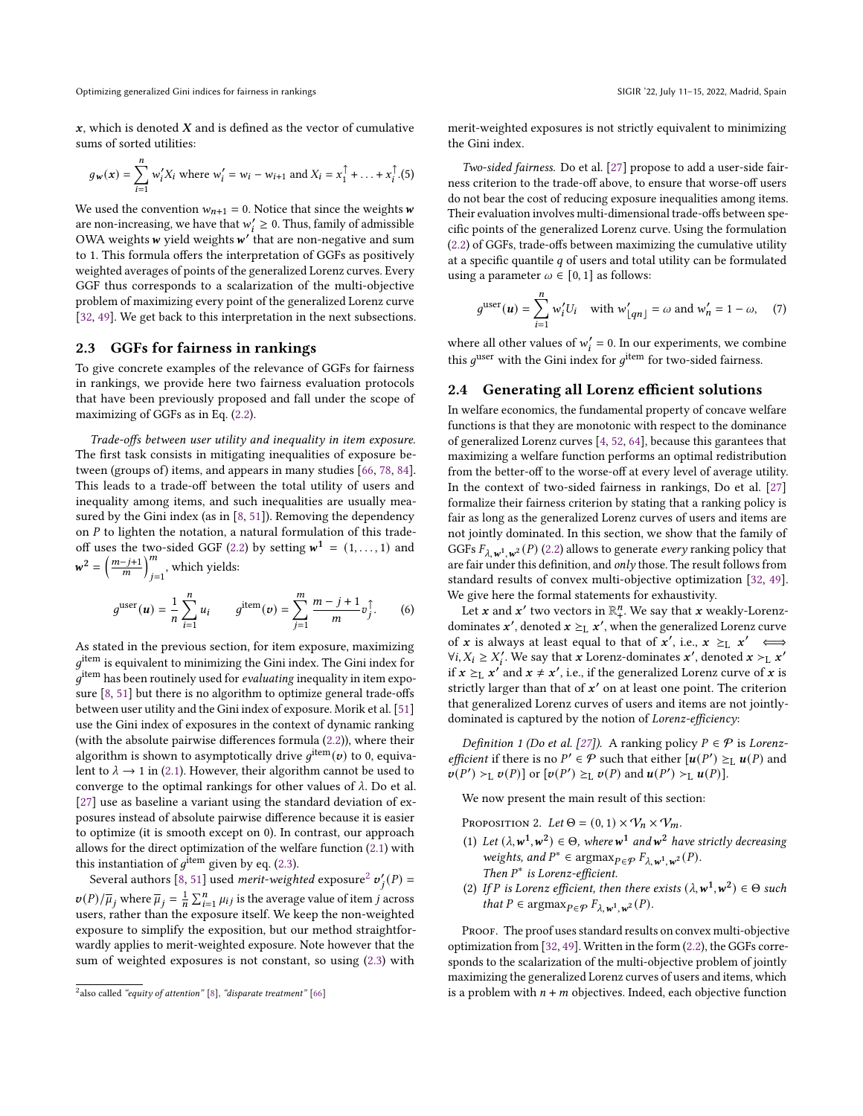$x$ , which is denoted  $X$  and is defined as the vector of cumulative sums of sorted utilities:

$$
g_{\mathbf{w}}(\mathbf{x}) = \sum_{i=1}^{n} w_{i}^{\prime} X_{i} \text{ where } w_{i}^{\prime} = w_{i} - w_{i+1} \text{ and } X_{i} = x_{1}^{\uparrow} + \ldots + x_{i}^{\uparrow}.(5)
$$

We used the convention  $w_{n+1} = 0$ . Notice that since the weights w are non-increasing, we have that  $w'_i \geq 0$ . Thus, family of admissible OWA weights  $w$  yield weights  $w'$  that are non-negative and sum to 1. This formula offers the interpretation of GGFs as positively weighted averages of points of the generalized Lorenz curves. Every GGF thus corresponds to a scalarization of the multi-objective problem of maximizing every point of the generalized Lorenz curve [\[32,](#page-9-10) [49\]](#page-10-19). We get back to this interpretation in the next subsections.

#### <span id="page-2-2"></span>2.3 GGFs for fairness in rankings

To give concrete examples of the relevance of GGFs for fairness in rankings, we provide here two fairness evaluation protocols that have been previously proposed and fall under the scope of maximizing of GGFs as in Eq. [\(2.2\)](#page-1-1).

<span id="page-2-0"></span>Trade-offs between user utility and inequality in item exposure. The first task consists in mitigating inequalities of exposure between (groups of) items, and appears in many studies [\[66,](#page-10-3) [78,](#page-10-20) [84\]](#page-10-7). This leads to a trade-off between the total utility of users and inequality among items, and such inequalities are usually measured by the Gini index (as in [\[8,](#page-9-3) [51\]](#page-10-4)). Removing the dependency on  $P$  to lighten the notation, a natural formulation of this trade-off uses the two-sided GGF [\(2.2\)](#page-1-1) by setting  $w^1 = (1, \ldots, 1)$  and  $w^2 = \left(\frac{m-j+1}{m}\right)^m$  $\sum_{j=1}^{m}$ , which yields:

$$
g^{\text{user}}(u) = \frac{1}{n} \sum_{i=1}^{n} u_i \qquad g^{\text{item}}(v) = \sum_{j=1}^{m} \frac{m-j+1}{m} v_j^{\uparrow}.
$$
 (6)

As stated in the previous section, for item exposure, maximizing  $a^{item}$  is equivalent to minimizing the Gini index. The Gini index for  $\hat{g}^{\text{item}}$  has been routinely used for evaluating inequality in item exposure [\[8,](#page-9-3) [51\]](#page-10-4) but there is no algorithm to optimize general trade-offs between user utility and the Gini index of exposure. Morik et al. [\[51\]](#page-10-4) use the Gini index of exposures in the context of dynamic ranking (with the absolute pairwise differences formula [\(2.2\)](#page-1-3)), where their algorithm is shown to asymptotically drive  $g^{\text{item}}(\boldsymbol{v})$  to 0, equivalent to  $\lambda \rightarrow 1$  in [\(2.1\)](#page-1-0). However, their algorithm cannot be used to converge to the optimal rankings for other values of  $\lambda$ . Do et al. [\[27\]](#page-9-6) use as baseline a variant using the standard deviation of exposures instead of absolute pairwise difference because it is easier to optimize (it is smooth except on 0). In contrast, our approach allows for the direct optimization of the welfare function [\(2.1\)](#page-1-0) with this instantiation of  $a^{\rm \bar{it}em}$  given by eq. [\(2.3\)](#page-2-0).

Several authors [\[8,](#page-9-3) [51\]](#page-10-4) used *merit-weighted* exposure<sup>[2](#page-2-1)</sup>  $v'_{i}(P)$  =  $v(P)/\overline{\mu}_j$  where  $\overline{\mu}_j = \frac{1}{n} \sum_{i=1}^n \mu_{ij}$  is the average value of item j across users, rather than the exposure itself. We keep the non-weighted exposure to simplify the exposition, but our method straightforwardly applies to merit-weighted exposure. Note however that the sum of weighted exposures is not constant, so using [\(2.3\)](#page-2-0) with

merit-weighted exposures is not strictly equivalent to minimizing the Gini index.

<span id="page-2-3"></span>Two-sided fairness. Do et al. [\[27\]](#page-9-6) propose to add a user-side fairness criterion to the trade-off above, to ensure that worse-off users do not bear the cost of reducing exposure inequalities among items. Their evaluation involves multi-dimensional trade-offs between specific points of the generalized Lorenz curve. Using the formulation [\(2.2\)](#page-1-4) of GGFs, trade-offs between maximizing the cumulative utility at a specific quantile  $q$  of users and total utility can be formulated using a parameter  $\omega \in [0, 1]$  as follows:

$$
g^{\text{user}}(\boldsymbol{u}) = \sum_{i=1}^{n} w_i' U_i \quad \text{with } w'_{\lfloor qn \rfloor} = \omega \text{ and } w'_n = 1 - \omega, \quad (7)
$$

where all other values of  $w'_i = 0$ . In our experiments, we combine this  $q^{\text{user}}$  with the Gini index for  $q^{\text{item}}$  for two-sided fairness.

#### 2.4 Generating all Lorenz efficient solutions

In welfare economics, the fundamental property of concave welfare functions is that they are monotonic with respect to the dominance of generalized Lorenz curves [\[4,](#page-9-9) [52,](#page-10-13) [64\]](#page-10-18), because this garantees that maximizing a welfare function performs an optimal redistribution from the better-off to the worse-off at every level of average utility. In the context of two-sided fairness in rankings, Do et al. [\[27\]](#page-9-6) formalize their fairness criterion by stating that a ranking policy is fair as long as the generalized Lorenz curves of users and items are not jointly dominated. In this section, we show that the family of GGFs  $F_{\lambda, \mathbf{w}^1, \mathbf{w}^2}(P)$  [\(2.2\)](#page-1-1) allows to generate every ranking policy that are fair under this definition, and only those. The result follows from standard results of convex multi-objective optimization [\[32,](#page-9-10) [49\]](#page-10-19). We give here the formal statements for exhaustivity.

Let  $x$  and  $x'$  two vectors in  $\mathbb{R}^n_+$ . We say that  $x$  weakly-Lorenzdominates  $x'$ , denoted  $x \geq_L x'$ , when the generalized Lorenz curve of x is always at least equal to that of  $x'$ , i.e.,  $x \geq_L x' \iff$ ∀ $i, X_i \geq X'_i$ . We say that  $x$  Lorenz-dominates  $x'$ , denoted  $x >_L x'$ if  $x \geq_L x'$  and  $x \neq x'$ , i.e., if the generalized Lorenz curve of x is strictly larger than that of  $x'$  on at least one point. The criterion that generalized Lorenz curves of users and items are not jointlydominated is captured by the notion of Lorenz-efficiency:

Definition 1 (Do et al. [\[27\]](#page-9-6)). A ranking policy  $P \in \mathcal{P}$  is Lorenz*efficient* if there is no  $P' \in \mathcal{P}$  such that either  $[u(P') \succeq_L u(P)$  and  $\mathcal{v}(P') >_{\mathbb{L}} \mathcal{v}(P)$  or  $[\mathcal{v}(P') \geq_{\mathbb{L}} \mathcal{v}(P)$  and  $\mathcal{u}(P') >_{\mathbb{L}} \mathcal{u}(P)$ .

We now present the main result of this section:

<span id="page-2-4"></span>PROPOSITION 2. Let  $\Theta = (0, 1) \times V_n \times V_m$ .

- (1) Let  $(\lambda, w^1, w^2) \in \Theta$ , where  $w^1$  and  $w^2$  have strictly decreasing weights, and  $P^* \in \text{argmax}_{P \in \mathcal{P}} F_{\lambda, \mathbf{w}^1, \mathbf{w}^2}(P)$ . Then  $P^*$  is Lorenz-efficient.
- (2) If P is Lorenz efficient, then there exists  $(\lambda, w^1, w^2) \in \Theta$  such that  $P \in \text{argmax}_{P \in \mathcal{P}} F_{\lambda, \mathbf{w}^1, \mathbf{w}^2}(P)$ .

PROOF. The proof uses standard results on convex multi-objective optimization from [\[32,](#page-9-10) [49\]](#page-10-19). Written in the form [\(2.2\)](#page-1-4), the GGFs corresponds to the scalarization of the multi-objective problem of jointly maximizing the generalized Lorenz curves of users and items, which is a problem with  $n + m$  objectives. Indeed, each objective function

<span id="page-2-1"></span> $^{2}$ also called "equity of attention" [\[8\]](#page-9-3), "disparate treatment" [\[66\]](#page-10-3)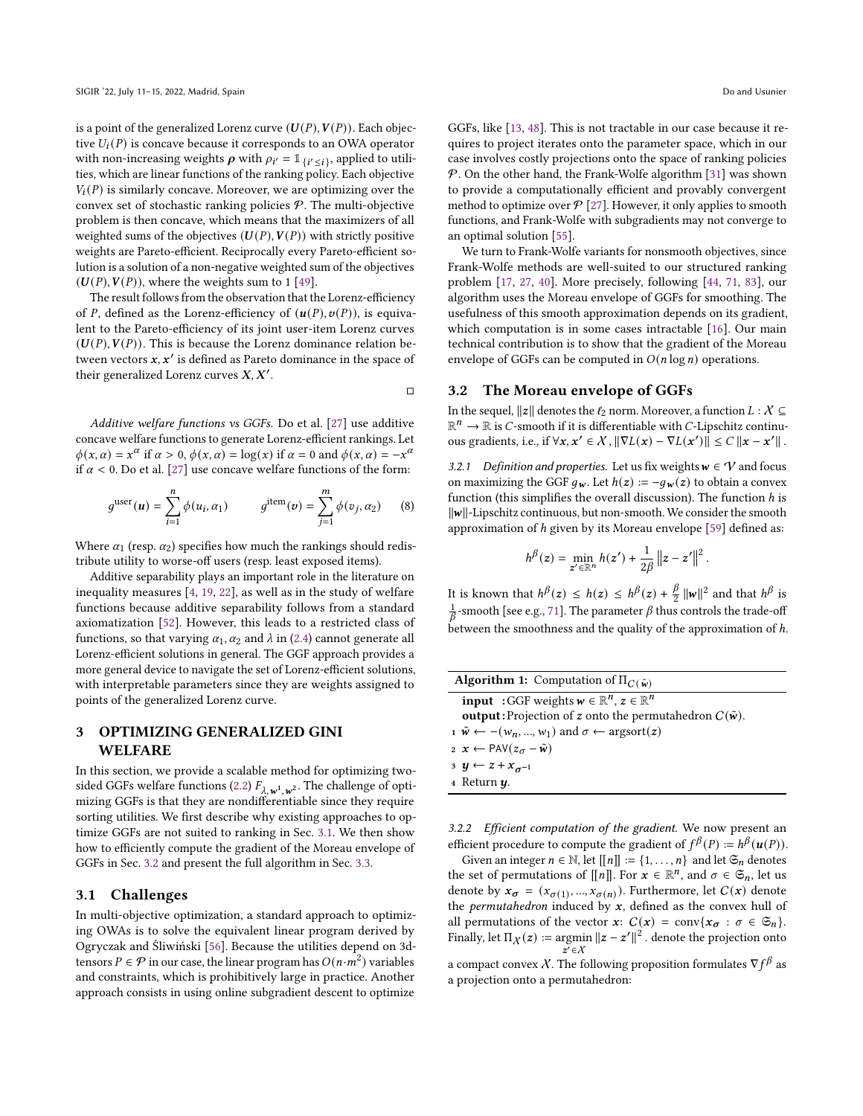is a point of the generalized Lorenz curve  $(U(P), V(P))$ . Each objective  $U_i(P)$  is concave because it corresponds to an OWA operator with non-increasing weights  $\rho$  with  $\rho_{i'} = \mathbb{1}_{\{i' \leq i\}}$ , applied to utilities, which are linear functions of the ranking policy. Each objective  $V_i(P)$  is similarly concave. Moreover, we are optimizing over the convex set of stochastic ranking policies  $P$ . The multi-objective problem is then concave, which means that the maximizers of all weighted sums of the objectives  $(U(P), V(P))$  with strictly positive weights are Pareto-efficient. Reciprocally every Pareto-efficient solution is a solution of a non-negative weighted sum of the objectives  $(U(P), V(P))$ , where the weights sum to 1 [\[49\]](#page-10-19).

The result follows from the observation that the Lorenz-efficiency of P, defined as the Lorenz-efficiency of  $(u(P), v(P))$ , is equivalent to the Pareto-efficiency of its joint user-item Lorenz curves  $(U(P), V(P))$ . This is because the Lorenz dominance relation between vectors  $x, x'$  is defined as Pareto dominance in the space of their generalized Lorenz curves  $X, X'$ .

 $\Box$ 

<span id="page-3-1"></span>Additive welfare functions vs GGFs. Do et al. [\[27\]](#page-9-6) use additive concave welfare functions to generate Lorenz-efficient rankings. Let  $\phi(x, \alpha) = x^{\alpha}$  if  $\alpha > 0$ ,  $\phi(x, \alpha) = \log(x)$  if  $\alpha = 0$  and  $\phi(x, \alpha) = -x^{\alpha}$ if  $\alpha$  < 0. Do et al. [\[27\]](#page-9-6) use concave welfare functions of the form:

$$
g^{\text{user}}(\boldsymbol{u}) = \sum_{i=1}^{n} \phi(u_i, \alpha_1) \qquad g^{\text{item}}(\boldsymbol{v}) = \sum_{j=1}^{m} \phi(v_j, \alpha_2) \qquad (8)
$$

Where  $\alpha_1$  (resp.  $\alpha_2$ ) specifies how much the rankings should redistribute utility to worse-off users (resp. least exposed items).

Additive separability plays an important role in the literature on inequality measures [\[4,](#page-9-9) [19,](#page-9-11) [22\]](#page-9-12), as well as in the study of welfare functions because additive separability follows from a standard axiomatization [\[52\]](#page-10-13). However, this leads to a restricted class of functions, so that varying  $\alpha_1, \alpha_2$  and  $\lambda$  in [\(2.4\)](#page-3-1) cannot generate all Lorenz-efficient solutions in general. The GGF approach provides a more general device to navigate the set of Lorenz-efficient solutions, with interpretable parameters since they are weights assigned to points of the generalized Lorenz curve.

# <span id="page-3-0"></span>3 OPTIMIZING GENERALIZED GINI WELFARE

In this section, we provide a scalable method for optimizing two-sided GGFs welfare functions [\(2.2\)](#page-1-1)  $F_{\lambda, \mathbf{w}^1, \mathbf{w}^2}$ . The challenge of optimizing GGFs is that they are nondifferentiable since they require sorting utilities. We first describe why existing approaches to optimize GGFs are not suited to ranking in Sec. [3.1.](#page-3-2) We then show how to efficiently compute the gradient of the Moreau envelope of GGFs in Sec. [3.2](#page-3-3) and present the full algorithm in Sec. [3.3.](#page-4-0)

#### <span id="page-3-2"></span>3.1 Challenges

In multi-objective optimization, a standard approach to optimizing OWAs is to solve the equivalent linear program derived by Ogryczak and Śliwiński [\[56\]](#page-10-21). Because the utilities depend on 3dtensors  $P \in \mathcal{P}$  in our case, the linear program has  $O(n \cdot m^2)$  variables and constraints, which is prohibitively large in practice. Another approach consists in using online subgradient descent to optimize

GGFs, like [\[13,](#page-9-13) [48\]](#page-10-22). This is not tractable in our case because it requires to project iterates onto the parameter space, which in our case involves costly projections onto the space of ranking policies  $P$ . On the other hand, the Frank-Wolfe algorithm [\[31\]](#page-9-7) was shown to provide a computationally efficient and provably convergent method to optimize over  $\mathcal{P}$  [\[27\]](#page-9-6). However, it only applies to smooth functions, and Frank-Wolfe with subgradients may not converge to an optimal solution [\[55\]](#page-10-23).

We turn to Frank-Wolfe variants for nonsmooth objectives, since Frank-Wolfe methods are well-suited to our structured ranking problem [\[17,](#page-9-14) [27,](#page-9-6) [40\]](#page-10-24). More precisely, following [\[44,](#page-10-8) [71,](#page-10-9) [83\]](#page-10-10), our algorithm uses the Moreau envelope of GGFs for smoothing. The usefulness of this smooth approximation depends on its gradient, which computation is in some cases intractable [\[16\]](#page-9-15). Our main technical contribution is to show that the gradient of the Moreau envelope of GGFs can be computed in  $O(n \log n)$  operations.

#### <span id="page-3-3"></span>3.2 The Moreau envelope of GGFs

In the sequel,  $||z||$  denotes the  $\ell_2$  norm. Moreover, a function  $L : X \subseteq$  $\mathbb{R}^n \to \mathbb{R}$  is C-smooth if it is differentiable with C-Lipschitz continuous gradients, i.e., if  $\forall x, x' \in \mathcal{X}$  ,  $\|\nabla L(x) - \nabla L(x')\| \leq C \|x - x'\|$  .

3.2.1 Definition and properties. Let us fix weights  $w \in V$  and focus on maximizing the GGF  $g_w$ . Let  $h(z) := -g_w(z)$  to obtain a convex function (this simplifies the overall discussion). The function  $h$  is ∥∥-Lipschitz continuous, but non-smooth. We consider the smooth approximation of h given by its Moreau envelope [\[59\]](#page-10-25) defined as:

$$
h^{\beta}(z) = \min_{z' \in \mathbb{R}^n} h(z') + \frac{1}{2\beta} ||z - z'||^2.
$$

It is known that  $h^{\beta}(z) \leq h(z) \leq h^{\beta}(z) + \frac{\beta}{2} ||w||^2$  and that  $h^{\beta}$  is  $\frac{1}{\beta}$ -smooth [see e.g., [71\]](#page-10-9). The parameter  $\beta$  thus controls the trade-off between the smoothness and the quality of the approximation of  $h$ .

<span id="page-3-4"></span>

| <b>Algorithm 1:</b> Computation of $\Pi_{C(\tilde{\mathbf{w}})}$                                                       |
|------------------------------------------------------------------------------------------------------------------------|
| <b>input</b> : GGF weights $w \in \mathbb{R}^n$ , $z \in \mathbb{R}^n$                                                 |
| <b>output:</b> Projection of z onto the permutahedron $C(\tilde{w})$ .                                                 |
| $\mathbf{u} \ \tilde{\mathbf{w}} \leftarrow -(\mathbf{w}_n, , \mathbf{w}_1)$ and $\sigma \leftarrow \text{argsort}(z)$ |
| $x \leftarrow \text{PAV}(z_{\sigma} - \tilde{\mathbf{w}})$                                                             |
| 3 $y \leftarrow z + x_{\sigma^{-1}}$                                                                                   |
| $4$ Return $\boldsymbol{\mathit{u}}$ .                                                                                 |
|                                                                                                                        |

3.2.2 Efficient computation of the gradient. We now present an efficient procedure to compute the gradient of  $f^{\beta}(P) := h^{\beta}(u(P)).$ 

Given an integer  $n \in \mathbb{N}$ , let  $[[n]] := \{1, \ldots, n\}$  and let  $\mathfrak{S}_n$  denotes the set of permutations of  $[[n]]$ . For  $x \in \mathbb{R}^n$ , and  $\sigma \in \mathfrak{S}_n$ , let us denote by  $x_{\sigma} = (x_{\sigma(1)}, ..., x_{\sigma(n)})$ . Furthermore, let  $C(x)$  denote the *permutahedron* induced by  $x$ , defined as the convex hull of all permutations of the vector  $x: C(x) = \text{conv}\{x_{\sigma} : \sigma \in \mathfrak{S}_n\}.$ Finally, let  $\Pi_X(z) := \operatorname{argmin} \|z - z'\|^2$ . denote the projection onto  $z'\in\mathcal{X}$ a compact convex X. The following proposition formulates  $\nabla f^{\beta}$  as

a projection onto a permutahedron: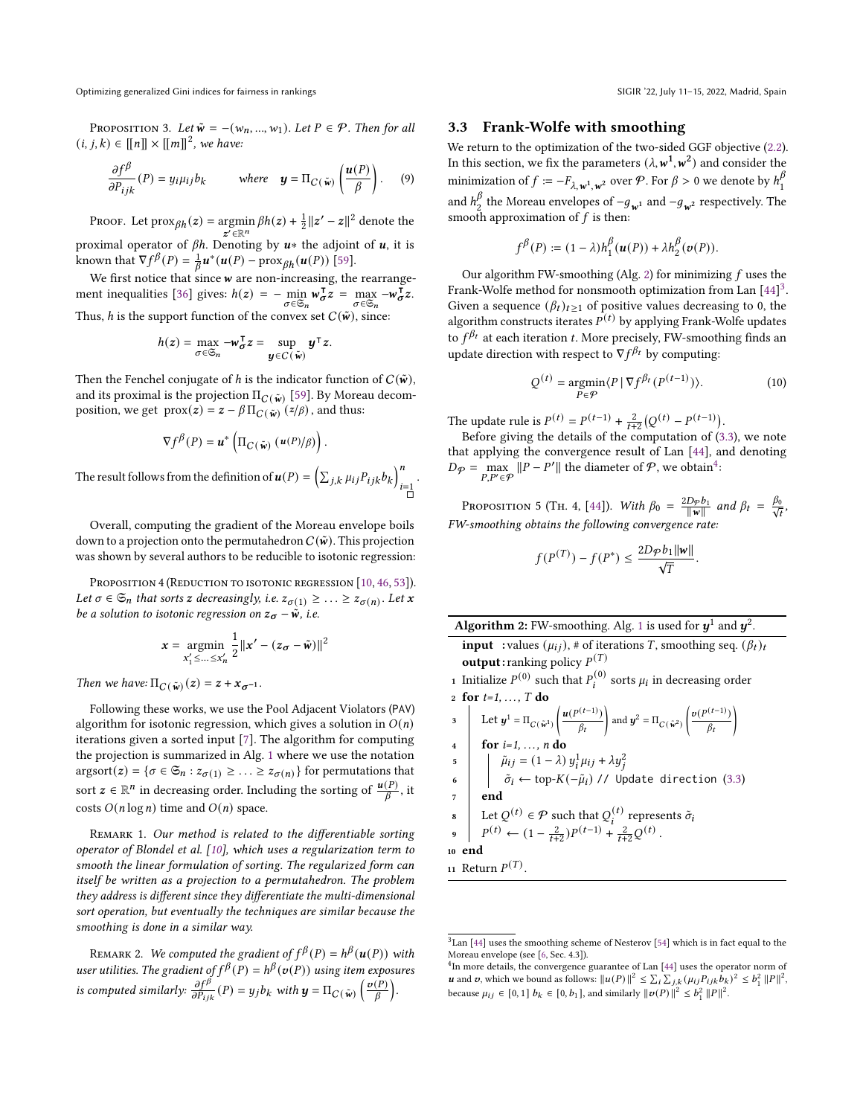Optimizing generalized Gini indices for fairness in rankings SIGIR '22, July 11–15, 2022, Madrid, Spain

<span id="page-4-4"></span>PROPOSITION 3. Let  $\tilde{w}$  = −( $w_n$ , ...,  $w_1$ ). Let  $P \in \mathcal{P}$ . Then for all  $(i, j, k) \in [[n]] \times [[m]]^2$ , we have:

$$
\frac{\partial f^{\beta}}{\partial P_{ijk}}(P) = y_i \mu_{ij} b_k \qquad \text{where} \quad \mathbf{y} = \Pi_{C(\tilde{\mathbf{w}})} \left( \frac{\mathbf{u}(P)}{\beta} \right). \tag{9}
$$

Proof. Let  $\text{prox}_{\beta h}(z) = \operatorname*{argmin}_{z' \in \mathbb{R}^n} \beta h(z) + \frac{1}{2} ||z' - z||^2$  denote the proximal operator of  $\beta h$ . Denoting by  $u^*$  the adjoint of  $u$ , it is known that  $\nabla f^{\beta}(P) = \frac{1}{\beta} u^*(u(P) - \text{prox}_{\beta h}(u(P))$  [\[59\]](#page-10-25).

We first notice that since  $w$  are non-increasing, the rearrange-ment inequalities [\[36\]](#page-10-26) gives:  $h(z) = - \min_{\sigma \in \mathfrak{S}_n} w_{\sigma}^{\top} z = \max_{\sigma \in \mathfrak{S}_n} -w_{\sigma}^{\top} z$ . Thus, h is the support function of the convex set  $C(\tilde{w})$ , since:

$$
h(z) = \max_{\sigma \in \mathfrak{S}_n} -\mathbf{w}_\sigma^\mathsf{T} z = \sup_{\mathbf{y} \in C(\tilde{\mathbf{w}})} \mathbf{y}^\mathsf{T} z.
$$

Then the Fenchel conjugate of h is the indicator function of  $C(\tilde{w})$ , and its proximal is the projection  $\Pi_{\mathcal{C}(\tilde{\bm w})}$  [\[59\]](#page-10-25). By Moreau decomposition, we get  $prox(z) = z - \beta \Pi_{C(\tilde{\mathbf{w}})}(z/\beta)$ , and thus:

$$
\nabla f^{\beta}(P) = \boldsymbol{u}^* \left( \Pi_{C(\tilde{\boldsymbol{w}})} \left( \boldsymbol{u}(P) / \beta \right) \right).
$$

The result follows from the definition of  $\boldsymbol{u}(P) = \left(\sum_{i,k} \mu_{ij} P_{iik} b_k \right)^n$  $\frac{n}{i=1}$ . □

Overall, computing the gradient of the Moreau envelope boils down to a projection onto the permutahedron  $C(\tilde{w})$ . This projection was shown by several authors to be reducible to isotonic regression:

PROPOSITION 4 (REDUCTION TO ISOTONIC REGRESSION [\[10,](#page-9-16) [46,](#page-10-27) [53\]](#page-10-28)). Let  $\sigma \in \mathfrak{S}_n$  that sorts  $z$  decreasingly, i.e.  $z_{\sigma(1)} \geq \ldots \geq z_{\sigma(n)}$ . Let  $x$ be a solution to isotonic regression on  $z_{\sigma} - \tilde{w}$ , i.e.

$$
\mathbf{x} = \underset{\mathbf{x}_1' \leq \dots \leq \mathbf{x}_n'}{\operatorname{argmin}} \frac{1}{2} ||\mathbf{x}' - (\mathbf{z}_{\sigma} - \tilde{\mathbf{w}})||^2
$$

Then we have:  $\Pi_{C(\tilde{\mathbf{w}})}(z) = z + x_{\sigma^{-1}}$ .

Following these works, we use the Pool Adjacent Violators (PAV) algorithm for isotonic regression, which gives a solution in  $O(n)$ iterations given a sorted input [\[7\]](#page-9-17). The algorithm for computing the projection is summarized in Alg. [1](#page-3-4) where we use the notation  $argsort(z) = \{ \sigma \in \mathfrak{S}_n : z_{\sigma(1)} \geq \ldots \geq z_{\sigma(n)} \}$  for permutations that sort  $z \in \mathbb{R}^n$  in decreasing order. Including the sorting of  $\frac{u(P)}{\beta}$ , it costs  $O(n \log n)$  time and  $O(n)$  space.

<span id="page-4-5"></span>REMARK 1. Our method is related to the differentiable sorting operator of Blondel et al. [\[10\]](#page-9-16), which uses a regularization term to smooth the linear formulation of sorting. The regularized form can itself be written as a projection to a permutahedron. The problem they address is different since they differentiate the multi-dimensional sort operation, but eventually the techniques are similar because the smoothing is done in a similar way.

REMARK 2. We computed the gradient of  $f^{\beta}(P) = h^{\beta}(u(P))$  with user utilities. The gradient of  $f^{\beta}(P) = h^{\beta}(v(P))$  using item exposures is computed similarly:  $\frac{\partial f^{\beta}}{\partial P_{ijk}}(P) = y_j b_k$  with  $\mathbf{y} = \Pi_{C(\tilde{\mathbf{w}})}\left(\frac{\mathbf{v}(P)}{\beta}\right)$ .

#### <span id="page-4-0"></span>3.3 Frank-Wolfe with smoothing

We return to the optimization of the two-sided GGF objective [\(2.2\)](#page-1-1). In this section, we fix the parameters  $(\lambda, w^1, w^2)$  and consider the minimization of  $f := -F_{\lambda, \mathbf{w}^1, \mathbf{w}^2}$  over  $\mathcal{P}$ . For  $\beta > 0$  we denote by  $h_1^{\beta}$ .<br>1 and  $h^{\beta}_{\alpha}$  $\frac{\beta}{2}$  the Moreau envelopes of − $g_{\mathbf{w}^1}$  and − $g_{\mathbf{w}^2}$  respectively. The smooth approximation of  $f$  is then:

$$
f^{\beta}(P) := (1 - \lambda)h_1^{\beta}(u(P)) + \lambda h_2^{\beta}(v(P)).
$$

Our algorithm FW-smoothing (Alg. [2\)](#page-4-1) for minimizing  $f$  uses the Frank-Wolfe method for nonsmooth optimization from Lan [\[44\]](#page-10-8)<sup>[3](#page-4-2)</sup>. Given a sequence  $(\beta_t)_{t\geq 1}$  of positive values decreasing to 0, the algorithm constructs iterates  $P^{(t)}$  by applying Frank-Wolfe updates to  $f^{\beta_t}$  at each iteration t. More precisely, FW-smoothing finds an update direction with respect to  $\nabla f^{\beta_t}$  by computing:

$$
Q^{(t)} = \underset{P \in \mathcal{P}}{\operatorname{argmin}} \langle P \mid \nabla f^{\beta_t} (P^{(t-1)}) \rangle. \tag{10}
$$

.

The update rule is  $P^{(t)} = P^{(t-1)} + \frac{2}{t+2} (Q^{(t)} - P^{(t-1)}).$ 

Before giving the details of the computation of [\(3.3\)](#page-4-0), we note that applying the convergence result of Lan [\[44\]](#page-10-8), and denoting  $D\varphi = \max_{P, P' \in \mathcal{P}} ||P - P'||$  the diameter of  $\mathcal{P}$ , we obtain<sup>[4](#page-4-3)</sup>:

PROPOSITION 5 (TH. 4, [\[44\]](#page-10-8)). With  $\beta_0 = \frac{2D_P b_1}{\|\mathbf{w}\|}$  and  $\beta_t = \frac{\beta_0}{\sqrt{t}}$ , FW-smoothing obtains the following convergence rate:

$$
f(P^{(T)}) - f(P^*) \le \frac{2D\varphi b_1 \|\mathbf{w}\|}{\sqrt{T}}
$$

| <b>Algorithm 2:</b> FW-smoothing. Alg. 1 is used for $\boldsymbol{y}^1$ and $\boldsymbol{y}^2$ . |  |  |
|--------------------------------------------------------------------------------------------------|--|--|
|                                                                                                  |  |  |

<span id="page-4-1"></span>**input** :values  $(\mu_{ij})$ , # of iterations *T*, smoothing seq.  $(\beta_t)_t$ **output**: ranking policy  $P^{(T)}$ 

1 Initialize  $P^{(0)}$  such that  $P_i^{(0)}$  sorts  $\mu_i$  in decreasing order 2 for  $t=1, \ldots, T$  do

3  
\nLet 
$$
y^1 = \Pi_{C(\tilde{w}^1)} \left( \frac{u(P^{(t-1)})}{\beta_t} \right)
$$
 and  $y^2 = \Pi_{C(\tilde{w}^2)} \left( \frac{v(P^{(t-1)})}{\beta_t} \right)$   
\n4  
\nfor  $i=1, ..., n$  do  
\n $\tilde{\mu}_{ij} = (1 - \lambda) y_i^1 \mu_{ij} + \lambda y_j^2$   
\n6  
\n $\tilde{\sigma}_i \leftarrow \text{top-}K(-\tilde{\mu}_i) / / \text{Update direction (3.3)}$   
\n7

**8** Let 
$$
Q^{(t)} \in \mathcal{P}
$$
 such that  $Q_i^{(t)}$  represents  $\tilde{\sigma}_i$ 

9 
$$
P^{(t)} \leftarrow (1 - \frac{2}{t+2})P^{(t-1)} + \frac{2}{t+2}Q^{(t)}
$$
.

<sup>10</sup> end

11 Return  $P^{(T)}$ .

<span id="page-4-2"></span> $3$ Lan [\[44\]](#page-10-8) uses the smoothing scheme of Nesterov [\[54\]](#page-10-29) which is in fact equal to the Moreau envelope (see [\[6,](#page-9-18) Sec. 4.3]).

<span id="page-4-3"></span><sup>4</sup> In more details, the convergence guarantee of Lan [\[44\]](#page-10-8) uses the operator norm of u and v, which we bound as follows:  $||u(P)||^2 \le \sum_i \sum_{j,k} (\mu_{ij} P_{ijk} b_k)^2 \le b_1^2 ||P||^2$ , because  $\mu_{ij} \in [0, 1]$   $b_k \in [0, b_1]$ , and similarly  $||\boldsymbol{\nu}(P)||^2 \leq b_1^2 ||P||^2$ .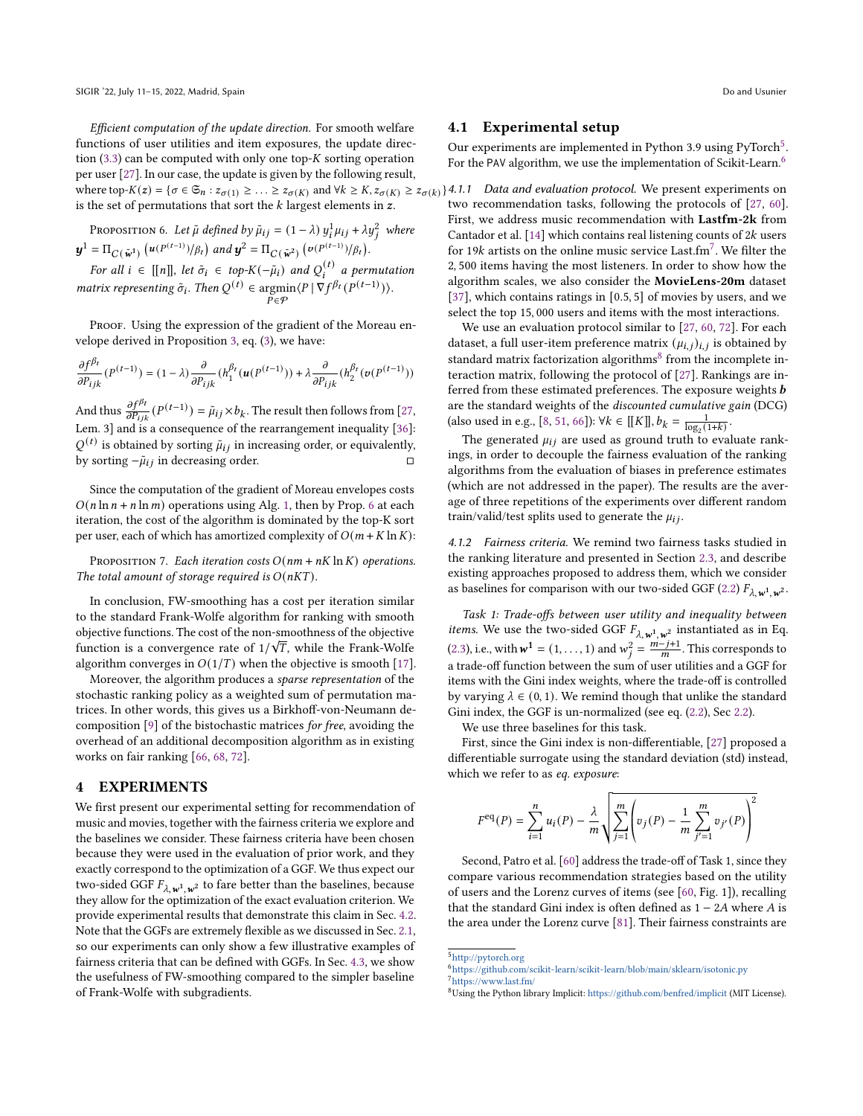Efficient computation of the update direction. For smooth welfare functions of user utilities and item exposures, the update direction  $(3.3)$  can be computed with only one top-K sorting operation per user [\[27\]](#page-9-6). In our case, the update is given by the following result, where top- $K(z) = \{\sigma \in \mathfrak{S}_n : z_{\sigma(1)} \geq \ldots \geq z_{\sigma(K)} \text{ and } \forall k \geq K, z_{\sigma(K)} \geq z_{\sigma(k)}\}$ 4.1.1 Data and evaluation protocol. We present experiments on is the set of permutations that sort the  $k$  largest elements in  $z$ .

<span id="page-5-1"></span>PROPOSITION 6. Let 
$$
\tilde{\mu}
$$
 defined by  $\tilde{\mu}_{ij} = (1 - \lambda) y_i^1 \mu_{ij} + \lambda y_j^2$  where   

$$
\mathbf{y}^1 = \Pi_{C(\tilde{\mathbf{w}}^1)} (u^{(P^{(t-1)})}/\beta_t) \text{ and } \mathbf{y}^2 = \Pi_{C(\tilde{\mathbf{w}}^2)} (v^{(P^{(t-1)})}/\beta_t).
$$

For all  $i \in [[n]]$ , let  $\tilde{\sigma}_i \in top-K(-\tilde{\mu}_i)$  and  $Q_i^{(t)}$  a permutation *matrix representing*  $\tilde{\sigma}_i$ . *Then*  $Q^{(t)}$   $\in$  argmin  $\widetilde{P} \in \mathcal{P}$  $\langle P | \nabla f^{\beta_t} (P^{(t-1)}) \rangle.$ 

PROOF. Using the expression of the gradient of the Moreau envelope derived in Proposition [3,](#page-4-4) eq. [\(3\)](#page-4-4), we have:

$$
\frac{\partial f^{\beta_t}}{\partial P_{ijk}}(P^{(t-1)})=(1-\lambda)\frac{\partial}{\partial P_{ijk}}(h^{\beta_t}_1(\boldsymbol{u}(P^{(t-1)}))+\lambda\frac{\partial}{\partial P_{ijk}}(h^{\beta_t}_2(\boldsymbol{v}(P^{(t-1)}))
$$

And thus  $\frac{\partial f^{\beta t}}{\partial P_{ijk}}(P^{(t-1)}) = \tilde{\mu}_{ij} \times b_k$ . The result then follows from [\[27,](#page-9-6) Lem. 3] and is a consequence of the rearrangement inequality [\[36\]](#page-10-26):  $Q^{(t)}$  is obtained by sorting  $\tilde{\mu}_{ij}$  in increasing order, or equivalently, by sorting  $-\tilde{\mu}_{ij}$  in decreasing order.

Since the computation of the gradient of Moreau envelopes costs  $O(n \ln n + n \ln m)$  operations using Alg. [1,](#page-3-4) then by Prop. [6](#page-5-1) at each iteration, the cost of the algorithm is dominated by the top-K sort per user, each of which has amortized complexity of  $O(m + K \ln K)$ :

PROPOSITION 7. Each iteration costs  $O(nm + nK \ln K)$  operations. The total amount of storage required is  $O(nKT)$ .

In conclusion, FW-smoothing has a cost per iteration similar to the standard Frank-Wolfe algorithm for ranking with smooth objective functions. The cost of the non-smoothness of the objective √ function is a convergence rate of  $1/\sqrt{T}$ , while the Frank-Wolfe algorithm converges in  $O(1/T)$  when the objective is smooth [\[17\]](#page-9-14).

Moreover, the algorithm produces a sparse representation of the stochastic ranking policy as a weighted sum of permutation matrices. In other words, this gives us a Birkhoff-von-Neumann decomposition [\[9\]](#page-9-19) of the bistochastic matrices for free, avoiding the overhead of an additional decomposition algorithm as in existing works on fair ranking [\[66,](#page-10-3) [68,](#page-10-30) [72\]](#page-10-15).

#### <span id="page-5-0"></span>4 EXPERIMENTS

We first present our experimental setting for recommendation of music and movies, together with the fairness criteria we explore and the baselines we consider. These fairness criteria have been chosen because they were used in the evaluation of prior work, and they exactly correspond to the optimization of a GGF. We thus expect our two-sided GGF  $F_{\lambda, w^1, w^2}$  to fare better than the baselines, because they allow for the optimization of the exact evaluation criterion. We provide experimental results that demonstrate this claim in Sec. [4.2.](#page-6-1) Note that the GGFs are extremely flexible as we discussed in Sec. [2.1,](#page-1-0) so our experiments can only show a few illustrative examples of fairness criteria that can be defined with GGFs. In Sec. [4.3,](#page-6-2) we show the usefulness of FW-smoothing compared to the simpler baseline of Frank-Wolfe with subgradients.

#### 4.1 Experimental setup

Our experiments are implemented in Python 3.9 using PyTorch<sup>[5](#page-5-2)</sup>. For the PAV algorithm, we use the implementation of Scikit-Learn.<sup>[6](#page-5-3)</sup>

two recommendation tasks, following the protocols of [\[27,](#page-9-6) [60\]](#page-10-14). First, we address music recommendation with Lastfm-2k from Cantador et al. [\[14\]](#page-9-20) which contains real listening counts of  $2k$  users for 19 $k$  artists on the online music service Last.fm<sup>[7](#page-5-4)</sup>. We filter the 2, 500 items having the most listeners. In order to show how the algorithm scales, we also consider the MovieLens-20m dataset [\[37\]](#page-10-31), which contains ratings in  $[0.5, 5]$  of movies by users, and we select the top 15, 000 users and items with the most interactions.

We use an evaluation protocol similar to [\[27,](#page-9-6) [60,](#page-10-14) [72\]](#page-10-15). For each dataset, a full user-item preference matrix  $(\mu_{i,j})_{i,j}$  is obtained by standard matrix factorization algorithms<sup>[8](#page-5-5)</sup> from the incomplete interaction matrix, following the protocol of [\[27\]](#page-9-6). Rankings are inferred from these estimated preferences. The exposure weights **b** are the standard weights of the discounted cumulative gain (DCG) (also used in e.g., [\[8,](#page-9-3) [51,](#page-10-4) [66\]](#page-10-3)):  $\forall k \in [[K]], b_k = \frac{1}{\log_2(1+k)}$ .

The generated  $\mu_{ij}$  are used as ground truth to evaluate rankings, in order to decouple the fairness evaluation of the ranking algorithms from the evaluation of biases in preference estimates (which are not addressed in the paper). The results are the average of three repetitions of the experiments over different random train/valid/test splits used to generate the  $\mu_{ij}$ .

<span id="page-5-6"></span>4.1.2 Fairness criteria. We remind two fairness tasks studied in the ranking literature and presented in Section [2.3,](#page-2-2) and describe existing approaches proposed to address them, which we consider as baselines for comparison with our two-sided GGF [\(2.2\)](#page-1-1)  $F_{\lambda, \mathbf{w}^1, \mathbf{w}^2}$ .

Task 1: Trade-offs between user utility and inequality between *items.* We use the two-sided GGF  $F_{\lambda, \mathbf{w}^1, \mathbf{w}^2}$  instantiated as in Eq. [\(2.3\)](#page-2-0), i.e., with  $w^1 = (1, \ldots, 1)$  and  $w_i^2 = \frac{m - j + 1}{m}$ . This corresponds to a trade-off function between the sum of user utilities and a GGF for items with the Gini index weights, where the trade-off is controlled by varying  $\lambda \in (0, 1)$ . We remind though that unlike the standard Gini index, the GGF is un-normalized (see eq. [\(2.2\)](#page-1-3), Sec [2.2\)](#page-1-1).

We use three baselines for this task.

First, since the Gini index is non-differentiable, [\[27\]](#page-9-6) proposed a differentiable surrogate using the standard deviation (std) instead, which we refer to as eq. exposure:

$$
F^{eq}(P) = \sum_{i=1}^{n} u_i(P) - \frac{\lambda}{m} \sqrt{\sum_{j=1}^{m} \left( v_j(P) - \frac{1}{m} \sum_{j'=1}^{m} v_{j'}(P) \right)^2}
$$

Second, Patro et al. [\[60\]](#page-10-14) address the trade-off of Task 1, since they compare various recommendation strategies based on the utility of users and the Lorenz curves of items (see [\[60,](#page-10-14) Fig. 1]), recalling that the standard Gini index is often defined as  $1 - 2A$  where A is the area under the Lorenz curve [\[81\]](#page-10-17). Their fairness constraints are

<span id="page-5-2"></span><sup>5</sup><http://pytorch.org>

<span id="page-5-4"></span><span id="page-5-3"></span><sup>6</sup><https://github.com/scikit-learn/scikit-learn/blob/main/sklearn/isotonic.py> <sup>7</sup><https://www.last.fm/>

<span id="page-5-5"></span><sup>8</sup>Using the Python library Implicit: <https://github.com/benfred/implicit> (MIT License).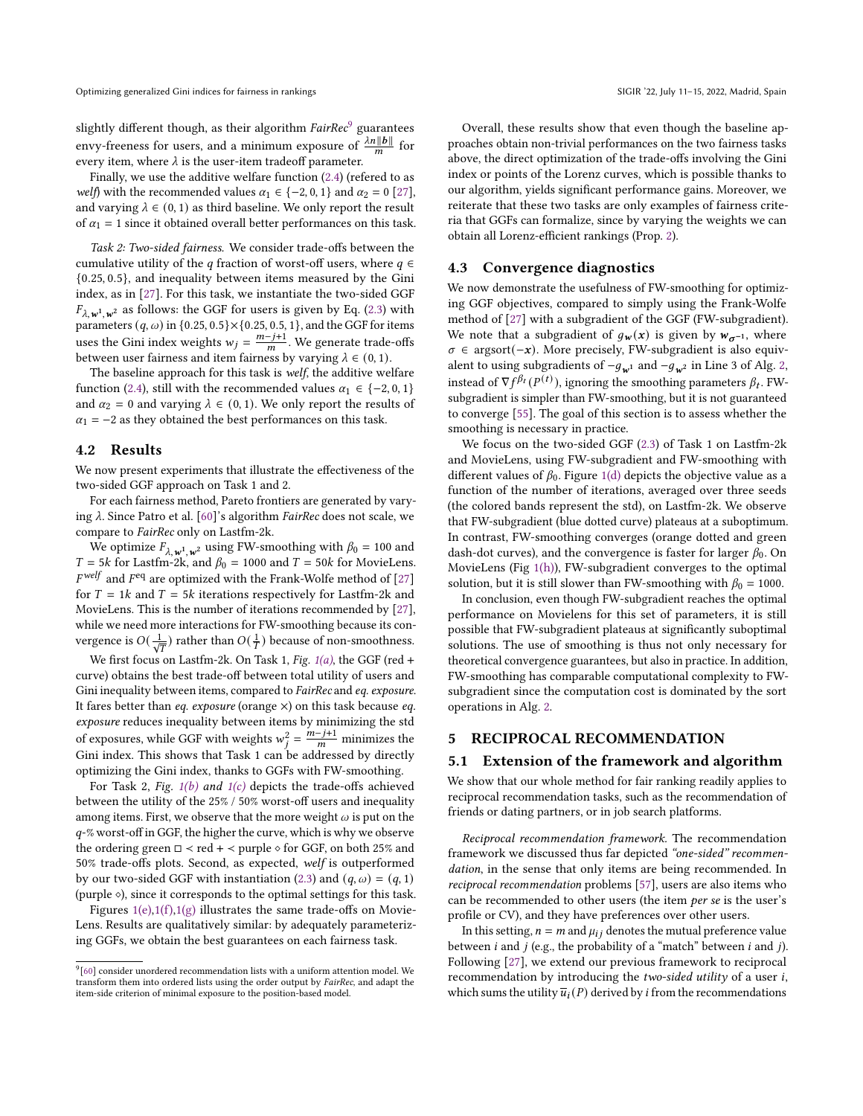slightly different though, as their algorithm  $FairRec<sup>9</sup>$  $FairRec<sup>9</sup>$  $FairRec<sup>9</sup>$  guarantees envy-freeness for users, and a minimum exposure of  $\frac{\lambda n ||b||}{m}$  for every item, where  $\lambda$  is the user-item tradeoff parameter.

Finally, we use the additive welfare function [\(2.4\)](#page-3-1) (refered to as *welf*) with the recommended values  $\alpha_1 \in \{-2, 0, 1\}$  and  $\alpha_2 = 0$  [\[27\]](#page-9-6), and varying  $\lambda \in (0, 1)$  as third baseline. We only report the result of  $\alpha_1 = 1$  since it obtained overall better performances on this task.

Task 2: Two-sided fairness. We consider trade-offs between the cumulative utility of the q fraction of worst-off users, where  $q \in$ {0.25, 0.5}, and inequality between items measured by the Gini index, as in [\[27\]](#page-9-6). For this task, we instantiate the two-sided GGF  $F_{\lambda,\mathbf{w}^1,\mathbf{w}^2}$  as follows: the GGF for users is given by Eq. [\(2.3\)](#page-2-3) with parameters  $(q, \omega)$  in  $\{0.25, 0.5\} \times \{0.25, 0.5, 1\}$ , and the GGF for items uses the Gini index weights  $w_j = \frac{m-j+1}{m}$ . We generate trade-offs between user fairness and item fairness by varying  $\lambda \in (0, 1)$ .

The baseline approach for this task is welf, the additive welfare function [\(2.4\)](#page-3-1), still with the recommended values  $\alpha_1 \in \{-2, 0, 1\}$ and  $\alpha_2 = 0$  and varying  $\lambda \in (0, 1)$ . We only report the results of  $\alpha_1$  = −2 as they obtained the best performances on this task.

#### <span id="page-6-1"></span>4.2 Results

We now present experiments that illustrate the effectiveness of the two-sided GGF approach on Task 1 and 2.

For each fairness method, Pareto frontiers are generated by varying  $\lambda$ . Since Patro et al. [\[60\]](#page-10-14)'s algorithm *FairRec* does not scale, we compare to FairRec only on Lastfm-2k.

We optimize  $F_{\lambda, \mathbf{w}^1, \mathbf{w}^2}$  using FW-smoothing with  $\beta_0 = 100$  and  $T = 5k$  for Lastfm-2k, and  $\beta_0 = 1000$  and  $T = 50k$  for MovieLens.  $F<sup>welf</sup>$  and  $F<sup>eq</sup>$  are optimized with the Frank-Wolfe method of [\[27\]](#page-9-6) for  $T = 1k$  and  $T = 5k$  iterations respectively for Lastfm-2k and MovieLens. This is the number of iterations recommended by [\[27\]](#page-9-6), while we need more interactions for FW-smoothing because its convergence is  $O(\frac{1}{\sqrt{T}})$  rather than  $O(\frac{1}{T})$  because of non-smoothness.

We first focus on Lastfm-2k. On Task 1, Fig.  $1(a)$ , the GGF (red + curve) obtains the best trade-off between total utility of users and Gini inequality between items, compared to FairRec and eq. exposure. It fares better than *eq. exposure* (orange  $\times$ ) on this task because *eq.* exposure reduces inequality between items by minimizing the std of exposures, while GGF with weights  $w_i^2 = \frac{m - j + 1}{m}$  minimizes the Gini index. This shows that Task 1 can be addressed by directly optimizing the Gini index, thanks to GGFs with FW-smoothing.

For Task 2, Fig.  $1(b)$  and  $1(c)$  depicts the trade-offs achieved between the utility of the 25% / 50% worst-off users and inequality among items. First, we observe that the more weight  $\omega$  is put on the  $q$ -% worst-off in GGF, the higher the curve, which is why we observe the ordering green  $\Box \prec$  red +  $\prec$  purple  $\diamond$  for GGF, on both 25% and 50% trade-offs plots. Second, as expected, welf is outperformed by our two-sided GGF with instantiation [\(2.3\)](#page-2-3) and  $(q, \omega) = (q, 1)$ (purple  $\diamond$ ), since it corresponds to the optimal settings for this task.

Figures  $1(e)$ , $1(f)$ , $1(g)$  illustrates the same trade-offs on Movie-Lens. Results are qualitatively similar: by adequately parameterizing GGFs, we obtain the best guarantees on each fairness task.

Overall, these results show that even though the baseline approaches obtain non-trivial performances on the two fairness tasks above, the direct optimization of the trade-offs involving the Gini index or points of the Lorenz curves, which is possible thanks to our algorithm, yields significant performance gains. Moreover, we reiterate that these two tasks are only examples of fairness criteria that GGFs can formalize, since by varying the weights we can obtain all Lorenz-efficient rankings (Prop. [2\)](#page-2-4).

#### <span id="page-6-2"></span>4.3 Convergence diagnostics

We now demonstrate the usefulness of FW-smoothing for optimizing GGF objectives, compared to simply using the Frank-Wolfe method of [\[27\]](#page-9-6) with a subgradient of the GGF (FW-subgradient). We note that a subgradient of  $q_w(x)$  is given by  $w_{\sigma^{-1}}$ , where  $\sigma \in \text{argsort}(-x)$ . More precisely, FW-subgradient is also equivalent to using subgradients of  $-g_{\mathbf{w}^1}$  and  $-g_{\mathbf{w}^2}$  in Line 3 of Alg. [2,](#page-4-1) instead of  $\nabla f^{\beta_t}(P^{(t)})$ , ignoring the smoothing parameters  $\beta_t$ . FWsubgradient is simpler than FW-smoothing, but it is not guaranteed to converge [\[55\]](#page-10-23). The goal of this section is to assess whether the smoothing is necessary in practice.

We focus on the two-sided GGF [\(2.3\)](#page-2-0) of Task 1 on Lastfm-2k and MovieLens, using FW-subgradient and FW-smoothing with different values of  $\beta_0$ . Figure [1\(d\)](#page-7-6) depicts the objective value as a function of the number of iterations, averaged over three seeds (the colored bands represent the std), on Lastfm-2k. We observe that FW-subgradient (blue dotted curve) plateaus at a suboptimum. In contrast, FW-smoothing converges (orange dotted and green dash-dot curves), and the convergence is faster for larger  $\beta_0$ . On MovieLens (Fig [1\(h\)\)](#page-7-7), FW-subgradient converges to the optimal solution, but it is still slower than FW-smoothing with  $\beta_0 = 1000$ .

In conclusion, even though FW-subgradient reaches the optimal performance on Movielens for this set of parameters, it is still possible that FW-subgradient plateaus at significantly suboptimal solutions. The use of smoothing is thus not only necessary for theoretical convergence guarantees, but also in practice. In addition, FW-smoothing has comparable computational complexity to FWsubgradient since the computation cost is dominated by the sort operations in Alg. [2.](#page-4-1)

# <span id="page-6-0"></span>5 RECIPROCAL RECOMMENDATION

#### 5.1 Extension of the framework and algorithm

We show that our whole method for fair ranking readily applies to reciprocal recommendation tasks, such as the recommendation of friends or dating partners, or in job search platforms.

Reciprocal recommendation framework. The recommendation framework we discussed thus far depicted "one-sided" recommendation, in the sense that only items are being recommended. In reciprocal recommendation problems [\[57\]](#page-10-32), users are also items who can be recommended to other users (the item per se is the user's profile or CV), and they have preferences over other users.

In this setting,  $n = m$  and  $\mu_{ij}$  denotes the mutual preference value between  $i$  and  $j$  (e.g., the probability of a "match" between  $i$  and  $j$ ). Following [\[27\]](#page-9-6), we extend our previous framework to reciprocal recommendation by introducing the  $two-sided$  utility of a user  $i$ , which sums the utility  $\overline{u}_i(P)$  derived by *i* from the recommendations

<span id="page-6-3"></span> $9$ [\[60\]](#page-10-14) consider unordered recommendation lists with a uniform attention model. We transform them into ordered lists using the order output by FairRec, and adapt the item-side criterion of minimal exposure to the position-based model.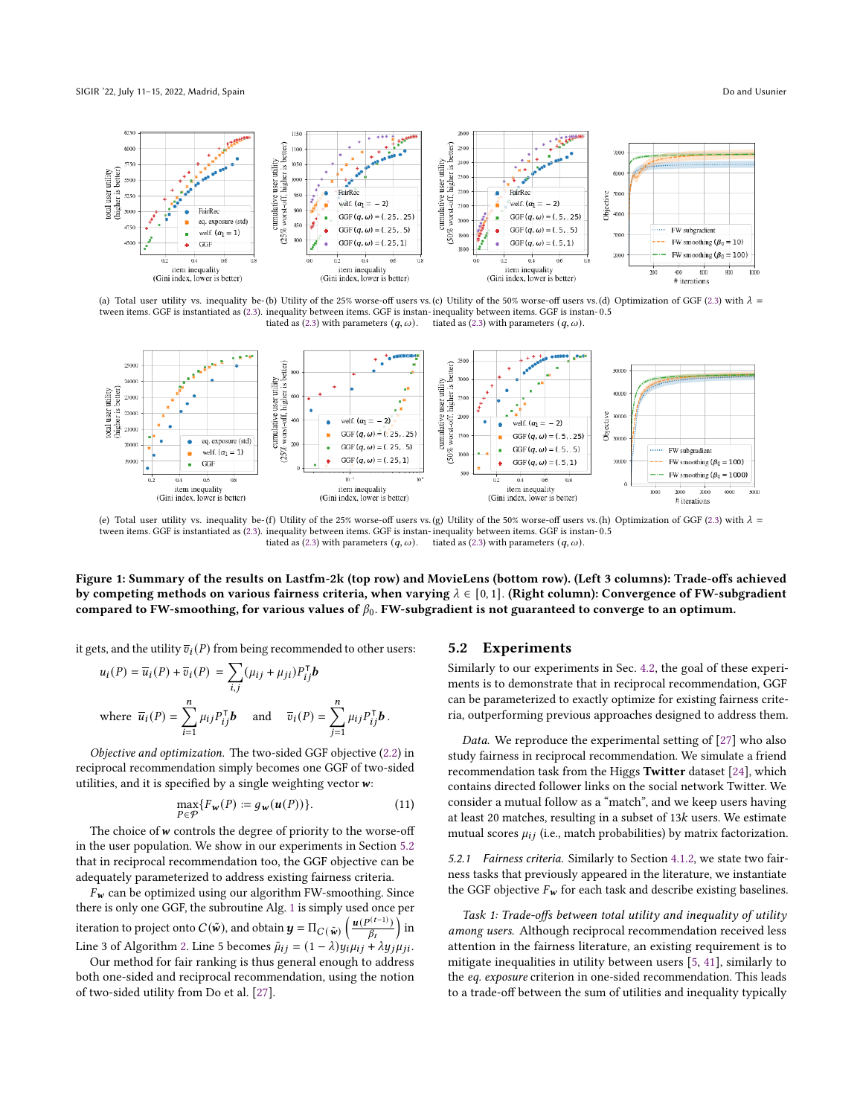<span id="page-7-0"></span>

<span id="page-7-2"></span><span id="page-7-1"></span>(a) Total user utility vs. inequality be-(b) Utility of the 25% worse-off users vs. (c) Utility of the 50% worse-off users vs. (d) Optimization of GGF [\(2.3\)](#page-2-0) with  $\lambda$  = tween items. GGF is instantiated as [\(2.3\)](#page-2-0). inequality between items. GGF is instan-inequality between items. GGF is instan-0.5 tiated as [\(2.3\)](#page-2-3) with parameters  $(q, \omega)$ . tiated as [\(2.3\)](#page-2-3) with parameters  $(q, \omega)$ .



<span id="page-7-4"></span><span id="page-7-3"></span>(e) Total user utility vs. inequality be-(f) Utility of the 25% worse-off users vs.(g) Utility of the 50% worse-off users vs.(h) Optimization of GGF [\(2.3\)](#page-2-0) with  $\lambda =$ tween items. GGF is instantiated as [\(2.3\)](#page-2-0), inequality between items. GGF is instan-inequality between items. GGF is instan-0.5 tiated as [\(2.3\)](#page-2-3) with parameters  $(q, \omega)$ . tiated as [\(2.3\)](#page-2-3) with parameters  $(q, \omega)$ .

Figure 1: Summary of the results on Lastfm-2k (top row) and MovieLens (bottom row). (Left 3 columns): Trade-offs achieved by competing methods on various fairness criteria, when varying  $\lambda \in [0,1]$ . (Right column): Convergence of FW-subgradient compared to FW-smoothing, for various values of  $\beta_0$ . FW-subgradient is not guaranteed to converge to an optimum.

it gets, and the utility  $\overline{v}_i(P)$  from being recommended to other users:

$$
u_i(P) = \overline{u}_i(P) + \overline{v}_i(P) = \sum_{i,j} (\mu_{ij} + \mu_{ji}) P_{ij}^{\mathsf{T}} \mathbf{b}
$$
  
where  $\overline{u}_i(P) = \sum_{i=1}^n \mu_{ij} P_{ij}^{\mathsf{T}} \mathbf{b}$  and  $\overline{v}_i(P) = \sum_{j=1}^n \mu_{ij} P_{ij}^{\mathsf{T}} \mathbf{b}$ .

<span id="page-7-10"></span>Objective and optimization. The two-sided GGF objective [\(2.2\)](#page-1-1) in reciprocal recommendation simply becomes one GGF of two-sided utilities, and it is specified by a single weighting vector  $w$ :

$$
\max_{P \in \mathcal{P}} \{ F_{\mathbf{w}}(P) := g_{\mathbf{w}}(\mathbf{u}(P)) \}.
$$
\n(11)

The choice of  $w$  controls the degree of priority to the worse-off in the user population. We show in our experiments in Section [5.2](#page-7-8) that in reciprocal recommendation too, the GGF objective can be adequately parameterized to address existing fairness criteria.

 $F_w$  can be optimized using our algorithm FW-smoothing. Since there is only one GGF, the subroutine Alg. [1](#page-3-4) is simply used once per iteration to project onto  $C(\tilde{w})$ , and obtain  $\mathbf{y} = \Pi_{C(\tilde{w})} \left( \frac{\mathbf{u}(P^{(t-1)})}{\beta_t} \right)$  in Line 3 of Algorithm [2.](#page-4-1) Line 5 becomes  $\tilde{\mu}_{ij} = (1 - \lambda) y_i \mu_{ij} + \lambda y_j \mu_{ji}$ .

Our method for fair ranking is thus general enough to address both one-sided and reciprocal recommendation, using the notion of two-sided utility from Do et al. [\[27\]](#page-9-6).

#### <span id="page-7-8"></span><span id="page-7-7"></span><span id="page-7-6"></span><span id="page-7-5"></span>5.2 Experiments

Similarly to our experiments in Sec. [4.2,](#page-6-1) the goal of these experiments is to demonstrate that in reciprocal recommendation, GGF can be parameterized to exactly optimize for existing fairness criteria, outperforming previous approaches designed to address them.

Data. We reproduce the experimental setting of [\[27\]](#page-9-6) who also study fairness in reciprocal recommendation. We simulate a friend recommendation task from the Higgs Twitter dataset [\[24\]](#page-9-21), which contains directed follower links on the social network Twitter. We consider a mutual follow as a "match", and we keep users having at least 20 matches, resulting in a subset of  $13k$  users. We estimate mutual scores  $\mu_{ij}$  (i.e., match probabilities) by matrix factorization.

5.2.1 Fairness criteria. Similarly to Section [4.1.2,](#page-5-6) we state two fairness tasks that previously appeared in the literature, we instantiate the GGF objective  $F_w$  for each task and describe existing baselines.

<span id="page-7-9"></span>Task 1: Trade-offs between total utility and inequality of utility among users. Although reciprocal recommendation received less attention in the fairness literature, an existing requirement is to mitigate inequalities in utility between users [\[5,](#page-9-22) [41\]](#page-10-33), similarly to the eq. exposure criterion in one-sided recommendation. This leads to a trade-off between the sum of utilities and inequality typically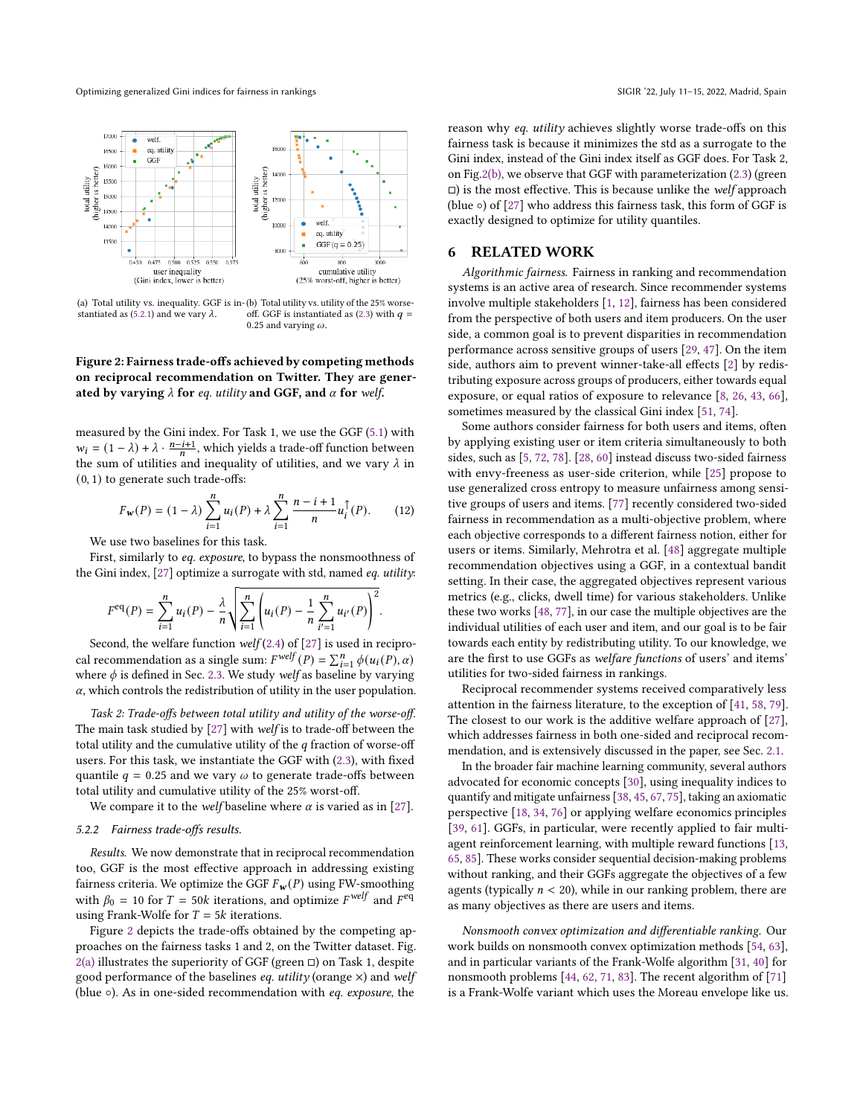<span id="page-8-2"></span><span id="page-8-1"></span>

<span id="page-8-3"></span>(a) Total utility vs. inequality. GGF is in-(b) Total utility vs. utility of the 25% worse-stantiated as [\(5.2.1\)](#page-7-9) and we vary  $\lambda$ . off. GGF is instantiated as  $(2.3)$  with  $q =$ 0.25 and varying  $\omega.$ 

#### Figure 2: Fairness trade-offs achieved by competing methods on reciprocal recommendation on Twitter. They are generated by varying  $\lambda$  for eq. utility and GGF, and  $\alpha$  for welf.

measured by the Gini index. For Task 1, we use the GGF [\(5.1\)](#page-7-10) with  $w_i = (1 - \lambda) + \lambda \cdot \frac{n - i + 1}{n}$ , which yields a trade-off function between the sum of utilities and inequality of utilities, and we vary  $\lambda$  in (0, 1) to generate such trade-offs:

$$
F_w(P) = (1 - \lambda) \sum_{i=1}^n u_i(P) + \lambda \sum_{i=1}^n \frac{n - i + 1}{n} u_i^{\uparrow}(P).
$$
 (12)

We use two baselines for this task.

First, similarly to eq. exposure, to bypass the nonsmoothness of the Gini index, [\[27\]](#page-9-6) optimize a surrogate with std, named eq. utility:

$$
F^{\text{eq}}(P) = \sum_{i=1}^{n} u_i(P) - \frac{\lambda}{n} \sqrt{\sum_{i=1}^{n} \left( u_i(P) - \frac{1}{n} \sum_{i'=1}^{n} u_{i'}(P) \right)^2}.
$$

Second, the welfare function  $welf(2.4)$  $welf(2.4)$  of  $[27]$  is used in reciprocal recommendation as a single sum:  $F^{welf}(P) = \sum_{i=1}^{n} \phi(u_i(P), \alpha)$ where  $\phi$  is defined in Sec. [2.3.](#page-2-2) We study welf as baseline by varying  $\alpha$ , which controls the redistribution of utility in the user population.

Task 2: Trade-offs between total utility and utility of the worse-off. The main task studied by [\[27\]](#page-9-6) with welf is to trade-off between the total utility and the cumulative utility of the  $q$  fraction of worse-off users. For this task, we instantiate the GGF with [\(2.3\)](#page-2-3), with fixed quantile  $q = 0.25$  and we vary  $\omega$  to generate trade-offs between total utility and cumulative utility of the 25% worst-off.

We compare it to the *welf* baseline where  $\alpha$  is varied as in [\[27\]](#page-9-6).

#### 5.2.2 Fairness trade-offs results.

Results. We now demonstrate that in reciprocal recommendation too, GGF is the most effective approach in addressing existing fairness criteria. We optimize the GGF  $F_w(P)$  using FW-smoothing with  $\beta_0 = 10$  for  $T = 50k$  iterations, and optimize  $F^{welf}$  and  $F^{eq}$ using Frank-Wolfe for  $T = 5k$  iterations.

Figure [2](#page-8-1) depicts the trade-offs obtained by the competing approaches on the fairness tasks 1 and 2, on the Twitter dataset. Fig. [2\(a\)](#page-8-2) illustrates the superiority of GGF (green  $\Box$ ) on Task 1, despite good performance of the baselines  $eq.$  utility (orange  $\times$ ) and welf (blue ◦). As in one-sided recommendation with eq. exposure, the

reason why eq. utility achieves slightly worse trade-offs on this fairness task is because it minimizes the std as a surrogate to the Gini index, instead of the Gini index itself as GGF does. For Task 2, on Fig[.2\(b\),](#page-8-3) we observe that GGF with parameterization [\(2.3\)](#page-2-3) (green  $\Box$ ) is the most effective. This is because unlike the welf approach (blue  $\circ$ ) of [\[27\]](#page-9-6) who address this fairness task, this form of GGF is exactly designed to optimize for utility quantiles.

#### <span id="page-8-0"></span>6 RELATED WORK

Algorithmic fairness. Fairness in ranking and recommendation systems is an active area of research. Since recommender systems involve multiple stakeholders [\[1,](#page-9-23) [12\]](#page-9-24), fairness has been considered from the perspective of both users and item producers. On the user side, a common goal is to prevent disparities in recommendation performance across sensitive groups of users [\[29,](#page-9-1) [47\]](#page-10-1). On the item side, authors aim to prevent winner-take-all effects [\[2\]](#page-9-2) by redistributing exposure across groups of producers, either towards equal exposure, or equal ratios of exposure to relevance [\[8,](#page-9-3) [26,](#page-9-4) [43,](#page-10-34) [66\]](#page-10-3), sometimes measured by the classical Gini index [\[51,](#page-10-4) [74\]](#page-10-35).

Some authors consider fairness for both users and items, often by applying existing user or item criteria simultaneously to both sides, such as [\[5,](#page-9-22) [72,](#page-10-15) [78\]](#page-10-20). [\[28,](#page-9-25) [60\]](#page-10-14) instead discuss two-sided fairness with envy-freeness as user-side criterion, while [\[25\]](#page-9-26) propose to use generalized cross entropy to measure unfairness among sensitive groups of users and items. [\[77\]](#page-10-36) recently considered two-sided fairness in recommendation as a multi-objective problem, where each objective corresponds to a different fairness notion, either for users or items. Similarly, Mehrotra et al. [\[48\]](#page-10-22) aggregate multiple recommendation objectives using a GGF, in a contextual bandit setting. In their case, the aggregated objectives represent various metrics (e.g., clicks, dwell time) for various stakeholders. Unlike these two works [\[48,](#page-10-22) [77\]](#page-10-36), in our case the multiple objectives are the individual utilities of each user and item, and our goal is to be fair towards each entity by redistributing utility. To our knowledge, we are the first to use GGFs as welfare functions of users' and items' utilities for two-sided fairness in rankings.

Reciprocal recommender systems received comparatively less attention in the fairness literature, to the exception of [\[41,](#page-10-33) [58,](#page-10-37) [79\]](#page-10-38). The closest to our work is the additive welfare approach of [\[27\]](#page-9-6), which addresses fairness in both one-sided and reciprocal recommendation, and is extensively discussed in the paper, see Sec. [2.1.](#page-1-0)

In the broader fair machine learning community, several authors advocated for economic concepts [\[30\]](#page-9-27), using inequality indices to quantify and mitigate unfairness [\[38,](#page-10-39) [45,](#page-10-40) [67,](#page-10-41) [75\]](#page-10-42), taking an axiomatic perspective [\[18,](#page-9-28) [34,](#page-10-43) [76\]](#page-10-44) or applying welfare economics principles [\[39,](#page-10-45) [61\]](#page-10-46). GGFs, in particular, were recently applied to fair multiagent reinforcement learning, with multiple reward functions [\[13,](#page-9-13) [65,](#page-10-47) [85\]](#page-10-48). These works consider sequential decision-making problems without ranking, and their GGFs aggregate the objectives of a few agents (typically  $n < 20$ ), while in our ranking problem, there are as many objectives as there are users and items.

Nonsmooth convex optimization and differentiable ranking. Our work builds on nonsmooth convex optimization methods [\[54,](#page-10-29) [63\]](#page-10-49), and in particular variants of the Frank-Wolfe algorithm [\[31,](#page-9-7) [40\]](#page-10-24) for nonsmooth problems [\[44,](#page-10-8) [62,](#page-10-50) [71,](#page-10-9) [83\]](#page-10-10). The recent algorithm of [\[71\]](#page-10-9) is a Frank-Wolfe variant which uses the Moreau envelope like us.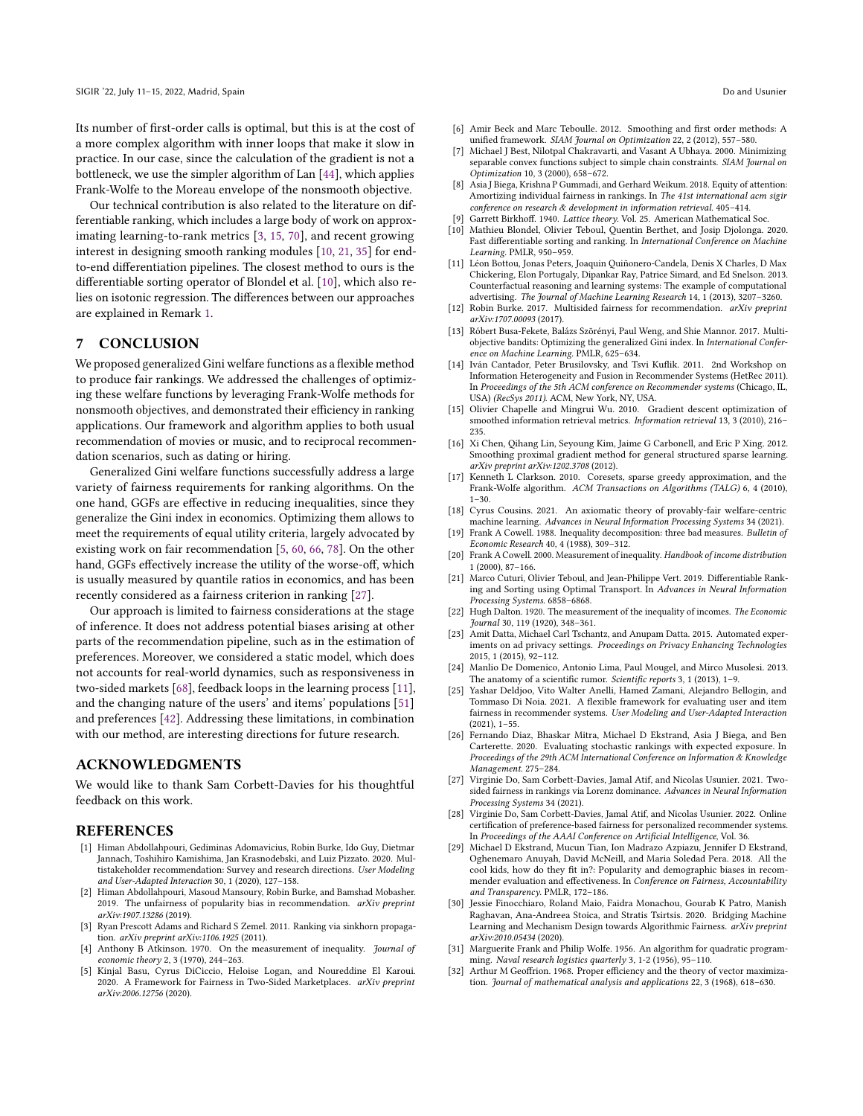Its number of first-order calls is optimal, but this is at the cost of a more complex algorithm with inner loops that make it slow in practice. In our case, since the calculation of the gradient is not a bottleneck, we use the simpler algorithm of Lan [\[44\]](#page-10-8), which applies Frank-Wolfe to the Moreau envelope of the nonsmooth objective.

Our technical contribution is also related to the literature on differentiable ranking, which includes a large body of work on approximating learning-to-rank metrics [\[3,](#page-9-29) [15,](#page-9-30) [70\]](#page-10-51), and recent growing interest in designing smooth ranking modules [\[10,](#page-9-16) [21,](#page-9-31) [35\]](#page-10-52) for endto-end differentiation pipelines. The closest method to ours is the differentiable sorting operator of Blondel et al. [\[10\]](#page-9-16), which also relies on isotonic regression. The differences between our approaches are explained in Remark [1.](#page-4-5)

# <span id="page-9-8"></span>7 CONCLUSION

We proposed generalized Gini welfare functions as a flexible method to produce fair rankings. We addressed the challenges of optimizing these welfare functions by leveraging Frank-Wolfe methods for nonsmooth objectives, and demonstrated their efficiency in ranking applications. Our framework and algorithm applies to both usual recommendation of movies or music, and to reciprocal recommendation scenarios, such as dating or hiring.

Generalized Gini welfare functions successfully address a large variety of fairness requirements for ranking algorithms. On the one hand, GGFs are effective in reducing inequalities, since they generalize the Gini index in economics. Optimizing them allows to meet the requirements of equal utility criteria, largely advocated by existing work on fair recommendation [\[5,](#page-9-22) [60,](#page-10-14) [66,](#page-10-3) [78\]](#page-10-20). On the other hand, GGFs effectively increase the utility of the worse-off, which is usually measured by quantile ratios in economics, and has been recently considered as a fairness criterion in ranking [\[27\]](#page-9-6).

Our approach is limited to fairness considerations at the stage of inference. It does not address potential biases arising at other parts of the recommendation pipeline, such as in the estimation of preferences. Moreover, we considered a static model, which does not accounts for real-world dynamics, such as responsiveness in two-sided markets [\[68\]](#page-10-30), feedback loops in the learning process [\[11\]](#page-9-32), and the changing nature of the users' and items' populations [\[51\]](#page-10-4) and preferences [\[42\]](#page-10-53). Addressing these limitations, in combination with our method, are interesting directions for future research.

### ACKNOWLEDGMENTS

We would like to thank Sam Corbett-Davies for his thoughtful feedback on this work.

#### REFERENCES

- <span id="page-9-23"></span>[1] Himan Abdollahpouri, Gediminas Adomavicius, Robin Burke, Ido Guy, Dietmar Jannach, Toshihiro Kamishima, Jan Krasnodebski, and Luiz Pizzato. 2020. Multistakeholder recommendation: Survey and research directions. User Modeling and User-Adapted Interaction 30, 1 (2020), 127–158.
- <span id="page-9-2"></span>[2] Himan Abdollahpouri, Masoud Mansoury, Robin Burke, and Bamshad Mobasher. 2019. The unfairness of popularity bias in recommendation. arXiv preprint arXiv:1907.13286 (2019).
- <span id="page-9-29"></span>[3] Ryan Prescott Adams and Richard S Zemel. 2011. Ranking via sinkhorn propagation. arXiv preprint arXiv:1106.1925 (2011).
- <span id="page-9-9"></span>[4] Anthony B Atkinson. 1970. On the measurement of inequality. Journal of economic theory 2, 3 (1970), 244–263.
- <span id="page-9-22"></span>[5] Kinjal Basu, Cyrus DiCiccio, Heloise Logan, and Noureddine El Karoui. 2020. A Framework for Fairness in Two-Sided Marketplaces. arXiv preprint arXiv:2006.12756 (2020).
- <span id="page-9-18"></span>[6] Amir Beck and Marc Teboulle. 2012. Smoothing and first order methods: A unified framework. SIAM Journal on Optimization 22, 2 (2012), 557–580.
- <span id="page-9-17"></span>[7] Michael J Best, Nilotpal Chakravarti, and Vasant A Ubhaya. 2000. Minimizing separable convex functions subject to simple chain constraints. SIAM Journal on Optimization 10, 3 (2000), 658–672.
- <span id="page-9-3"></span>[8] Asia J Biega, Krishna P Gummadi, and Gerhard Weikum. 2018. Equity of attention: Amortizing individual fairness in rankings. In The 41st international acm sigir conference on research & development in information retrieval. 405–414.
- <span id="page-9-19"></span>Garrett Birkhoff. 1940. Lattice theory. Vol. 25. American Mathematical Soc.
- <span id="page-9-16"></span>Mathieu Blondel, Olivier Teboul, Quentin Berthet, and Josip Djolonga. 2020. Fast differentiable sorting and ranking. In International Conference on Machine Learning. PMLR, 950–959.
- <span id="page-9-32"></span>[11] Léon Bottou, Jonas Peters, Joaquin Quiñonero-Candela, Denis X Charles, D Max Chickering, Elon Portugaly, Dipankar Ray, Patrice Simard, and Ed Snelson. 2013. Counterfactual reasoning and learning systems: The example of computational advertising. The Journal of Machine Learning Research 14, 1 (2013), 3207–3260.
- <span id="page-9-24"></span>[12] Robin Burke. 2017. Multisided fairness for recommendation. arXiv preprint arXiv:1707.00093 (2017).
- <span id="page-9-13"></span>[13] Róbert Busa-Fekete, Balázs Szörényi, Paul Weng, and Shie Mannor. 2017. Multiobjective bandits: Optimizing the generalized Gini index. In International Conference on Machine Learning. PMLR, 625–634.
- <span id="page-9-20"></span>[14] Iván Cantador, Peter Brusilovsky, and Tsvi Kuflik. 2011. 2nd Workshop on Information Heterogeneity and Fusion in Recommender Systems (HetRec 2011). In Proceedings of the 5th ACM conference on Recommender systems (Chicago, IL, USA) (RecSys 2011). ACM, New York, NY, USA.
- <span id="page-9-30"></span>[15] Olivier Chapelle and Mingrui Wu. 2010. Gradient descent optimization of smoothed information retrieval metrics. Information retrieval 13, 3 (2010), 216– 235.
- <span id="page-9-15"></span>[16] Xi Chen, Qihang Lin, Seyoung Kim, Jaime G Carbonell, and Eric P Xing. 2012. Smoothing proximal gradient method for general structured sparse learning. arXiv preprint arXiv:1202.3708 (2012).
- <span id="page-9-14"></span>[17] Kenneth L Clarkson. 2010. Coresets, sparse greedy approximation, and the Frank-Wolfe algorithm. ACM Transactions on Algorithms (TALG) 6, 4 (2010), 1–30.
- <span id="page-9-28"></span>[18] Cyrus Cousins. 2021. An axiomatic theory of provably-fair welfare-centric machine learning. Advances in Neural Information Processing Systems 34 (2021). [19] Frank A Cowell. 1988. Inequality decomposition: three bad measures. Bulletin of
- <span id="page-9-11"></span>Economic Research 40, 4 (1988), 309–312.
- <span id="page-9-5"></span>[20] Frank A Cowell. 2000. Measurement of inequality. Handbook of income distribution 1 (2000), 87–166.
- <span id="page-9-31"></span>[21] Marco Cuturi, Olivier Teboul, and Jean-Philippe Vert. 2019. Differentiable Ranking and Sorting using Optimal Transport. In Advances in Neural Information Processing Systems. 6858–6868.
- <span id="page-9-12"></span>[22] Hugh Dalton. 1920. The measurement of the inequality of incomes. The Economic Journal 30, 119 (1920), 348–361.
- <span id="page-9-0"></span>[23] Amit Datta, Michael Carl Tschantz, and Anupam Datta. 2015. Automated experiments on ad privacy settings. Proceedings on Privacy Enhancing Technologies 2015, 1 (2015), 92–112.
- <span id="page-9-21"></span>[24] Manlio De Domenico, Antonio Lima, Paul Mougel, and Mirco Musolesi. 2013. The anatomy of a scientific rumor. Scientific reports 3, 1 (2013), 1-9.
- <span id="page-9-26"></span>[25] Yashar Deldjoo, Vito Walter Anelli, Hamed Zamani, Alejandro Bellogin, and Tommaso Di Noia. 2021. A flexible framework for evaluating user and item fairness in recommender systems. User Modeling and User-Adapted Interaction (2021), 1–55.
- <span id="page-9-4"></span>[26] Fernando Diaz, Bhaskar Mitra, Michael D Ekstrand, Asia J Biega, and Ben Carterette. 2020. Evaluating stochastic rankings with expected exposure. In Proceedings of the 29th ACM International Conference on Information & Knowledge Management. 275–284.
- <span id="page-9-6"></span>[27] Virginie Do, Sam Corbett-Davies, Jamal Atif, and Nicolas Usunier. 2021. Twosided fairness in rankings via Lorenz dominance. Advances in Neural Information Processing Systems 34 (2021).
- <span id="page-9-25"></span>[28] Virginie Do, Sam Corbett-Davies, Jamal Atif, and Nicolas Usunier. 2022. Online certification of preference-based fairness for personalized recommender systems. In Proceedings of the AAAI Conference on Artificial Intelligence, Vol. 36.
- <span id="page-9-1"></span>[29] Michael D Ekstrand, Mucun Tian, Ion Madrazo Azpiazu, Jennifer D Ekstrand, Oghenemaro Anuyah, David McNeill, and Maria Soledad Pera. 2018. All the cool kids, how do they fit in?: Popularity and demographic biases in recommender evaluation and effectiveness. In Conference on Fairness, Accountability and Transparency. PMLR, 172–186.
- <span id="page-9-27"></span>[30] Jessie Finocchiaro, Roland Maio, Faidra Monachou, Gourab K Patro, Manish Raghavan, Ana-Andreea Stoica, and Stratis Tsirtsis. 2020. Bridging Machine Learning and Mechanism Design towards Algorithmic Fairness. arXiv preprint arXiv:2010.05434 (2020).
- <span id="page-9-7"></span>[31] Marguerite Frank and Philip Wolfe. 1956. An algorithm for quadratic programming. Naval research logistics quarterly 3, 1-2 (1956), 95–110.
- <span id="page-9-10"></span>[32] Arthur M Geoffrion. 1968. Proper efficiency and the theory of vector maximization. Journal of mathematical analysis and applications 22, 3 (1968), 618–630.